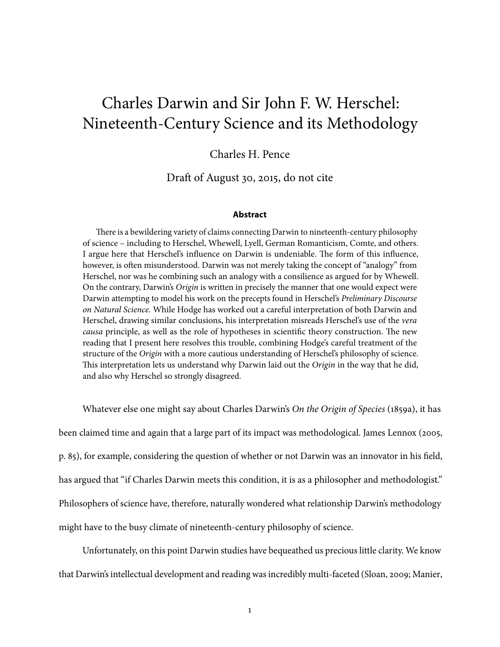# Charles Darwin and Sir John F. W. Herschel: Nineteenth-Century Science and its Methodology

### Charles H. Pence

Draft of August 30, 2015, do not cite

#### **Abstract**

There is a bewildering variety of claims connecting Darwin to nineteenth-century philosophy of science – including to Herschel, Whewell, Lyell, German Romanticism, Comte, and others. I argue here that Herschel's influence on Darwin is undeniable. The form of this influence, however, is often misunderstood. Darwin was not merely taking the concept of "analogy" from Herschel, nor was he combining such an analogy with a consilience as argued for by Whewell. On the contrary, Darwin's Origin is written in precisely the manner that one would expect were Darwin attempting to model his work on the precepts found in Herschel's Preliminary Discourse on Natural Science. While Hodge has worked out a careful interpretation of both Darwin and Herschel, drawing similar conclusions, his interpretation misreads Herschel's use of the vera causa principle, as well as the role of hypotheses in scientific theory construction. The new reading that I present here resolves this trouble, combining Hodge's careful treatment of the structure of the Origin with a more cautious understanding of Herschel's philosophy of science. This interpretation lets us understand why Darwin laid out the Origin in the way that he did, and also why Herschel so strongly disagreed.

Whatever else one might say about Charles Darwin's On the Origin of Species [\(1859a\)](#page-30-0), it has been claimed time and again that a large part of its impact was methodological. James Lennox [\(2005,](#page-32-0) p. 85), for example, considering the question of whether or not Darwin was an innovator in his field, has argued that "if Charles Darwin meets this condition, it is as a philosopher and methodologist." Philosophers of science have, therefore, naturally wondered what relationship Darwin's methodology might have to the busy climate of nineteenth-century philosophy of science.

Unfortunately, on this point Darwin studies have bequeathed us precious little clarity. We know that Darwin's intellectual development and reading was incredibly multi-faceted [\(Sloan,](#page-33-0) [2009;](#page-33-0) [Manier,](#page-32-1)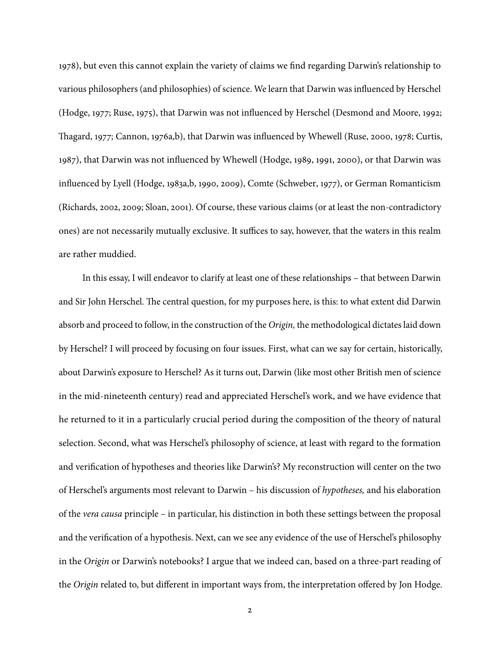[1978\)](#page-32-1), but even this cannot explain the variety of claims we find regarding Darwin's relationship to various philosophers (and philosophies) of science. We learn that Darwin was influenced by Herschel [\(Hodge,](#page-31-0) [1977;](#page-31-0) [Ruse,](#page-33-1) [1975\)](#page-33-1), that Darwin was not influenced by Herschel [\(Desmond and Moore,](#page-30-1) [1992;](#page-30-1) Th[agard,](#page-33-2) [1977;](#page-33-2) [Cannon,](#page-30-2) [1976a](#page-30-2)[,b\)](#page-30-3), that Darwin was influenced by Whewell [\(Ruse,](#page-33-3) [2000,](#page-33-3) [1978;](#page-33-4) [Curtis,](#page-30-4) [1987\)](#page-30-4), that Darwin was not influenced by Whewell [\(Hodge,](#page-31-1) [1989,](#page-31-1) [1991,](#page-31-2) [2000\)](#page-31-3), or that Darwin was influenced by Lyell [\(Hodge,](#page-31-4) [1983a,](#page-31-4)[b,](#page-31-5) [1990,](#page-31-6) [2009\)](#page-31-7), Comte [\(Schweber,](#page-33-5) [1977\)](#page-33-5), or German Romanticism [\(Richards,](#page-32-2) [2002,](#page-32-2) [2009;](#page-32-3) [Sloan,](#page-33-6) [2001\)](#page-33-6). Of course, these various claims (or at least the non-contradictory ones) are not necessarily mutually exclusive. It suffices to say, however, that the waters in this realm are rather muddied.

In this essay, I will endeavor to clarify at least one of these relationships – that between Darwin and Sir John Herschel. The central question, for my purposes here, is this: to what extent did Darwin absorb and proceed to follow, in the construction of the Origin, the methodological dictates laid down by Herschel? I will proceed by focusing on four issues. First, what can we say for certain, historically, about Darwin's exposure to Herschel? As it turns out, Darwin (like most other British men of science in the mid-nineteenth century) read and appreciated Herschel's work, and we have evidence that he returned to it in a particularly crucial period during the composition of the theory of natural selection. Second, what was Herschel's philosophy of science, at least with regard to the formation and verification of hypotheses and theories like Darwin's? My reconstruction will center on the two of Herschel's arguments most relevant to Darwin – his discussion of hypotheses, and his elaboration of the vera causa principle – in particular, his distinction in both these settings between the proposal and the verification of a hypothesis. Next, can we see any evidence of the use of Herschel's philosophy in the Origin or Darwin's notebooks? I argue that we indeed can, based on a three-part reading of the Origin related to, but different in important ways from, the interpretation offered by Jon Hodge.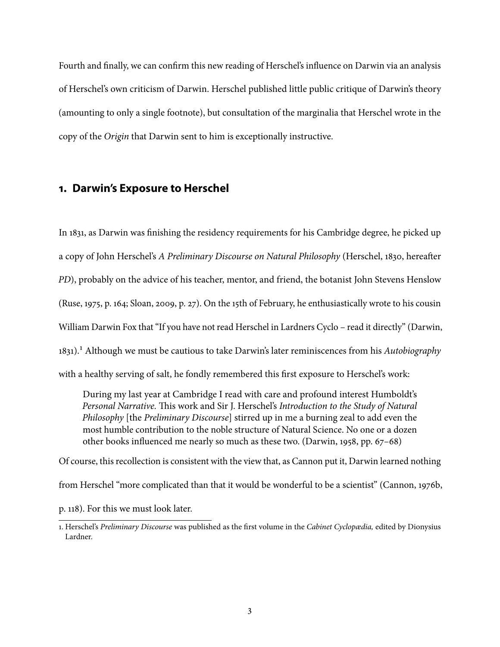Fourth and finally, we can confirm this new reading of Herschel's influence on Darwin via an analysis of Herschel's own criticism of Darwin. Herschel published little public critique of Darwin's theory (amounting to only a single footnote), but consultation of the marginalia that Herschel wrote in the copy of the Origin that Darwin sent to him is exceptionally instructive.

### **1. Darwin's Exposure to Herschel**

In 1831, as Darwin was finishing the residency requirements for his Cambridge degree, he picked up a copy of John Herschel's A Preliminary Discourse on Natural Philosophy [\(Herschel,](#page-31-8) [1830,](#page-31-8) hereafter PD), probably on the advice of his teacher, mentor, and friend, the botanist John Stevens Henslow [\(Ruse,](#page-33-1) [1975,](#page-33-1) p. 164; [Sloan,](#page-33-0) [2009,](#page-33-0) p. 27). On the 15th of February, he enthusiastically wrote to his cousin William Darwin Fox that "If you have not read Herschel in Lardners Cyclo – read it directly" [\(Darwin,](#page-30-5) [1831\)](#page-30-5).<sup>1</sup> Although we must be cautious to take Darwin's later reminiscences from his Autobiography with a healthy serving of salt, he fondly remembered this first exposure to Herschel's work:

During my last year at Cambridge I read with care and profound interest Humboldt's Personal Narrative. This work and Sir J. Herschel's Introduction to the Study of Natural Philosophy [the Preliminary Discourse] stirred up in me a burning zeal to add even the most humble contribution to the noble structure of Natural Science. No one or a dozen other books influenced me nearly so much as these two. [\(Darwin,](#page-30-6) [1958,](#page-30-6) pp.  $67-68$ )

Of course, this recollection is consistent with the view that, as Cannon put it, Darwin learned nothing

from Herschel "more complicated than that it would be wonderful to be a scientist" [\(Cannon,](#page-30-3) [1976b,](#page-30-3)

p. 118). For this we must look later.

<span id="page-2-0"></span><sup>1.</sup> Herschel's Preliminary Discourse was published as the first volume in the Cabinet Cyclopædia, edited by Dionysius Lardner.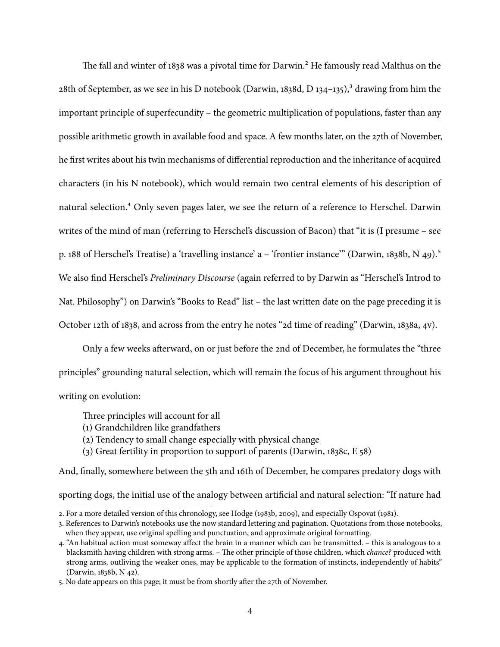The fall and winter of 1838 was a pivotal time for Darwin.<sup>2</sup> He famously read Malthus on the 28th of September, as we see in his D notebook [\(Darwin,](#page-30-7) [1838d,](#page-30-7) D 134–135),<sup>3</sup> drawing from him the important principle of superfecundity – the geometric multiplication of populations, faster than any possible arithmetic growth in available food and space. A few months later, on the 27th of November, he first writes about his twin mechanisms of differential reproduction and the inheritance of acquired characters (in his N notebook), which would remain two central elements of his description of natural selection.<sup>4</sup> Only seven pages later, we see the return of a reference to Herschel. Darwin writes of the mind of man (referring to Herschel's discussion of Bacon) that "it is (I presume – see p. 188 of Herschel's Treatise) a 'travelling instance' a – 'frontier instance'" [\(Darwin,](#page-30-8) [1838b,](#page-30-8) N 49).<sup>5</sup> We also find Herschel's Preliminary Discourse (again referred to by Darwin as "Herschel's Introd to Nat. Philosophy") on Darwin's "Books to Read" list – the last written date on the page preceding it is October 12th of 1838, and across from the entry he notes "2d time of reading" [\(Darwin,](#page-30-9) [1838a,](#page-30-9) 4v).

Only a few weeks afterward, on or just before the 2nd of December, he formulates the "three principles" grounding natural selection, which will remain the focus of his argument throughout his writing on evolution:

Three principles will account for all

- (1) Grandchildren like grandfathers
- (2) Tendency to small change especially with physical change
- (3) Great fertility in proportion to support of parents [\(Darwin,](#page-30-10) [1838c,](#page-30-10) E 58)

And, finally, somewhere between the 5th and 16th of December, he compares predatory dogs with sporting dogs, the initial use of the analogy between artificial and natural selection: "If nature had

<span id="page-3-0"></span><sup>2.</sup> For a more detailed version of this chronology, see [Hodge](#page-31-5) [\(1983b,](#page-31-5) [2009\)](#page-31-7), and especially [Ospovat](#page-32-4) [\(1981\)](#page-32-4).

<span id="page-3-1"></span><sup>3.</sup> References to Darwin's notebooks use the now standard lettering and pagination. Quotations from those notebooks, when they appear, use original spelling and punctuation, and approximate original formatting.

<span id="page-3-2"></span><sup>4. &</sup>quot;An habitual action must someway affect the brain in a manner which can be transmitted. – this is analogous to a blacksmith having children with strong arms. - The other principle of those children, which chance? produced with strong arms, outliving the weaker ones, may be applicable to the formation of instincts, independently of habits" [\(Darwin,](#page-30-8) [1838b,](#page-30-8) N 42).

<span id="page-3-3"></span><sup>5.</sup> No date appears on this page; it must be from shortly after the 27th of November.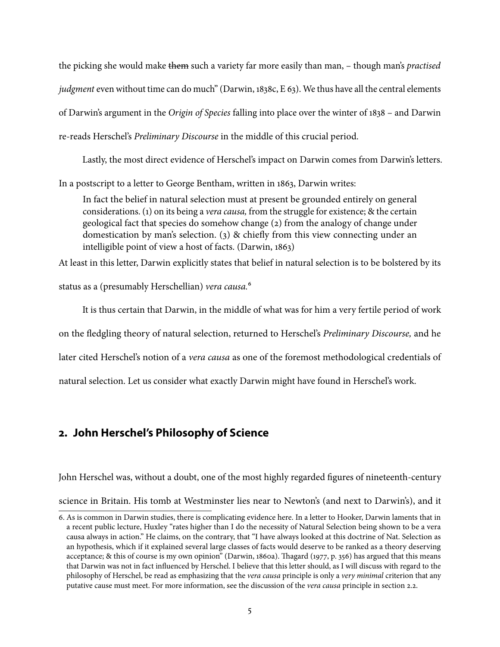the picking she would make them such a variety far more easily than man, – though man's practised judgment even without time can do much" [\(Darwin,](#page-30-10) [1838c,](#page-30-10) E 63). We thus have all the central elements of Darwin's argument in the Origin of Species falling into place over the winter of 1838 – and Darwin re-reads Herschel's Preliminary Discourse in the middle of this crucial period.

Lastly, the most direct evidence of Herschel's impact on Darwin comes from Darwin's letters.

In a postscript to a letter to George Bentham, written in 1863, Darwin writes:

In fact the belief in natural selection must at present be grounded entirely on general considerations. (1) on its being a vera causa, from the struggle for existence; & the certain geological fact that species do somehow change (2) from the analogy of change under domestication by man's selection. (3)  $\&$  chiefly from this view connecting under an intelligible point of view a host of facts. [\(Darwin,](#page-30-11) [1863\)](#page-30-11)

At least in this letter, Darwin explicitly states that belief in natural selection is to be bolstered by its

status as a (presumably Herschellian) vera causa.<sup>[6](#page-4-0)</sup>

It is thus certain that Darwin, in the middle of what was for him a very fertile period of work on the fledgling theory of natural selection, returned to Herschel's Preliminary Discourse, and he later cited Herschel's notion of a vera causa as one of the foremost methodological credentials of natural selection. Let us consider what exactly Darwin might have found in Herschel's work.

# <span id="page-4-1"></span>**2. John Herschel's Philosophy of Science**

John Herschel was, without a doubt, one of the most highly regarded figures of nineteenth-century

science in Britain. His tomb at Westminster lies near to Newton's (and next to Darwin's), and it

<span id="page-4-0"></span><sup>6.</sup> As is common in Darwin studies, there is complicating evidence here. In a letter to Hooker, Darwin laments that in a recent public lecture, Huxley "rates higher than I do the necessity of Natural Selection being shown to be a vera causa always in action." He claims, on the contrary, that "I have always looked at this doctrine of Nat. Selection as an hypothesis, which if it explained several large classes of facts would deserve to be ranked as a theory deserving acceptance; & this of course is my own opinion" [\(Darwin,](#page-30-12) [1860a\)](#page-30-12). Th[agard](#page-33-2) [\(1977,](#page-33-2) p. 356) has argued that this means that Darwin was not in fact influenced by Herschel. I believe that this letter should, as I will discuss with regard to the philosophy of Herschel, be read as emphasizing that the vera causa principle is only a very minimal criterion that any putative cause must meet. For more information, see the discussion of the vera causa principle in section [2.2.](#page-6-0)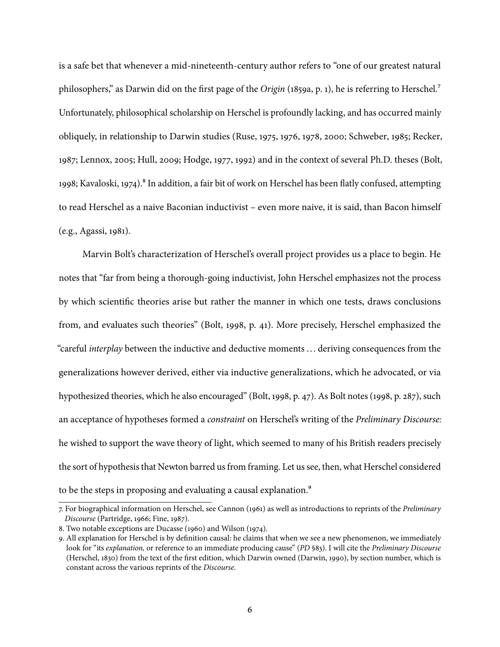is a safe bet that whenever a mid-nineteenth-century author refers to "one of our greatest natural philosophers," as Darwin did on the first page of the Origin [\(1859a,](#page-30-0) p. 1), he is referring to Herschel.<sup>7</sup> Unfortunately, philosophical scholarship on Herschel is profoundly lacking, and has occurred mainly obliquely, in relationship to Darwin studies [\(Ruse,](#page-33-1) [1975,](#page-33-1) [1976,](#page-33-7) [1978,](#page-33-4) [2000;](#page-33-3) [Schweber,](#page-33-8) [1985;](#page-33-8) [Recker,](#page-32-5) [1987;](#page-32-5) [Lennox,](#page-32-0) [2005;](#page-32-0) [Hull,](#page-32-6) [2009;](#page-32-6) [Hodge,](#page-31-0) [1977,](#page-31-0) [1992\)](#page-31-9) and in the context of several Ph.D. theses [\(Bolt,](#page-29-0) [1998;](#page-29-0) [Kavaloski,](#page-32-7) [1974\)](#page-32-7).<sup>8</sup> In addition, a fair bit of work on Herschel has been flatly confused, attempting to read Herschel as a naive Baconian inductivist – even more naive, it is said, than Bacon himself (e.g., [Agassi,](#page-29-1) [1981\)](#page-29-1).

Marvin Bolt's characterization of Herschel's overall project provides us a place to begin. He notes that "far from being a thorough-going inductivist, John Herschel emphasizes not the process by which scientific theories arise but rather the manner in which one tests, draws conclusions from, and evaluates such theories" [\(Bolt,](#page-29-0) [1998,](#page-29-0) p. 41). More precisely, Herschel emphasized the "careful *interplay* between the inductive and deductive moments ... deriving consequences from the generalizations however derived, either via inductive generalizations, which he advocated, or via hypothesized theories, which he also encouraged" [\(Bolt,](#page-29-0) [1998,](#page-29-0) p. 47). As Bolt notes [\(1998,](#page-29-0) p. 287), such an acceptance of hypotheses formed a constraint on Herschel's writing of the Preliminary Discourse: he wished to support the wave theory of light, which seemed to many of his British readers precisely the sort of hypothesis that Newton barred us from framing. Let us see, then, what Herschel considered to be the steps in proposing and evaluating a causal explanation.<sup>9</sup>

<span id="page-5-0"></span><sup>7.</sup> For biographical information on Herschel, see [Cannon](#page-29-2) [\(1961\)](#page-29-2) as well as introductions to reprints of the Preliminary Discourse [\(Partridge,](#page-32-8) [1966;](#page-32-8) [Fine,](#page-31-10) [1987\)](#page-31-10).

<span id="page-5-1"></span><sup>8.</sup> Two notable exceptions are [Ducasse](#page-30-13) [\(1960\)](#page-30-13) and [Wilson](#page-34-0) [\(1974\)](#page-34-0).

<span id="page-5-2"></span><sup>9.</sup> All explanation for Herschel is by definition causal: he claims that when we see a new phenomenon, we immediately look for "its explanation, or reference to an immediate producing cause" (PD §83). I will cite the Preliminary Discourse [\(Herschel,](#page-31-8) [1830\)](#page-31-8) from the text of the first edition, which Darwin owned [\(Darwin,](#page-30-14) [1990\)](#page-30-14), by section number, which is constant across the various reprints of the Discourse.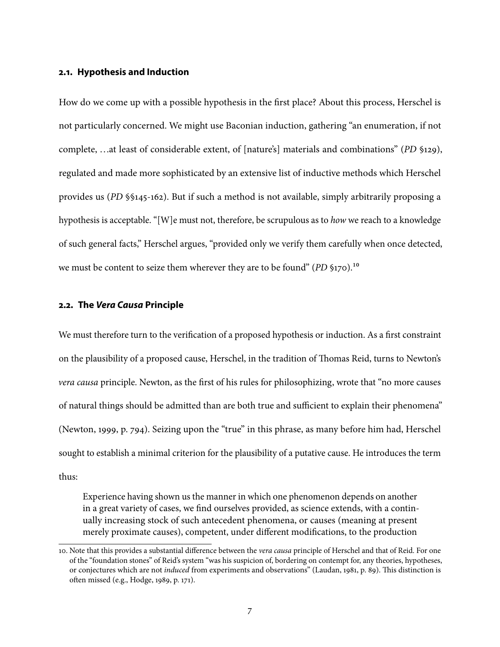#### **2.1. Hypothesis and Induction**

How do we come up with a possible hypothesis in the first place? About this process, Herschel is not particularly concerned. We might use Baconian induction, gathering "an enumeration, if not complete, ...at least of considerable extent, of [nature's] materials and combinations" (PD §129), regulated and made more sophisticated by an extensive list of inductive methods which Herschel provides us (PD §§145-162). But if such a method is not available, simply arbitrarily proposing a hypothesis is acceptable. "[W]e must not, therefore, be scrupulous as to *how* we reach to a knowledge of such general facts," Herschel argues, "provided only we verify them carefully when once detected, we must be content to seize them wherever they are to be found"  $(PD \, \$170)$ .<sup>10</sup>

#### <span id="page-6-0"></span>**2.2. The Vera Causa Principle**

We must therefore turn to the verification of a proposed hypothesis or induction. As a first constraint on the plausibility of a proposed cause, Herschel, in the tradition of Thomas Reid, turns to Newton's vera causa principle. Newton, as the first of his rules for philosophizing, wrote that "no more causes" of natural things should be admitted than are both true and sufficient to explain their phenomena" [\(Newton,](#page-32-9) [1999,](#page-32-9) p. 794). Seizing upon the "true" in this phrase, as many before him had, Herschel sought to establish a minimal criterion for the plausibility of a putative cause. He introduces the term thus:

Experience having shown us the manner in which one phenomenon depends on another in a great variety of cases, we find ourselves provided, as science extends, with a continually increasing stock of such antecedent phenomena, or causes (meaning at present merely proximate causes), competent, under different modifications, to the production

<span id="page-6-1"></span><sup>10.</sup> Note that this provides a substantial difference between the vera causa principle of Herschel and that of Reid. For one of the "foundation stones" of Reid's system "was his suspicion of, bordering on contempt for, any theories, hypotheses, or conjectures which are not *induced* from experiments and observations" [\(Laudan,](#page-32-10) [1981,](#page-32-10) p. 89). This distinction is often missed (e.g., [Hodge,](#page-31-1) [1989,](#page-31-1) p. 171).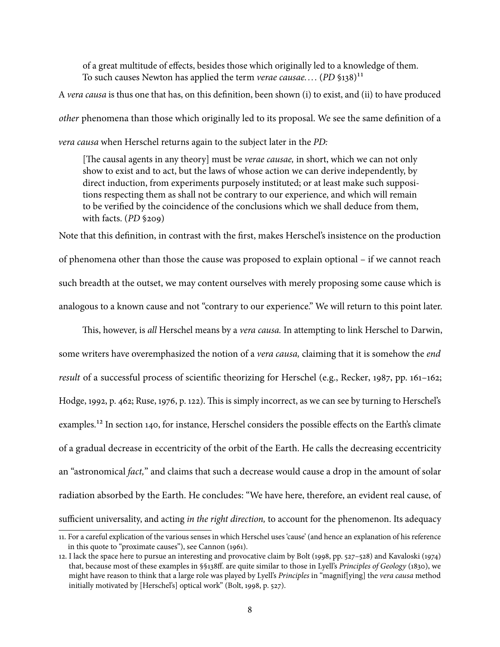of a great multitude of effects, besides those which originally led to a knowledge of them. To such causes Newton has applied the term verae causae....  $(PD \S 138)^{11}$ 

A vera causa is thus one that has, on this definition, been shown (i) to exist, and (ii) to have produced other phenomena than those which originally led to its proposal. We see the same definition of a vera causa when Herschel returns again to the subject later in the PD:

[The causal agents in any theory] must be *verae causae*, in short, which we can not only show to exist and to act, but the laws of whose action we can derive independently, by direct induction, from experiments purposely instituted; or at least make such suppositions respecting them as shall not be contrary to our experience, and which will remain to be verified by the coincidence of the conclusions which we shall deduce from them, with facts. (PD §209)

Note that this definition, in contrast with the first, makes Herschel's insistence on the production of phenomena other than those the cause was proposed to explain optional – if we cannot reach such breadth at the outset, we may content ourselves with merely proposing some cause which is analogous to a known cause and not "contrary to our experience." We will return to this point later.

This, however, is all Herschel means by a vera causa. In attempting to link Herschel to Darwin, some writers have overemphasized the notion of a vera causa, claiming that it is somehow the end result of a successful process of scientific theorizing for Herschel (e.g., [Recker,](#page-32-5) [1987,](#page-32-5) pp. 161-162; [Hodge,](#page-31-9) [1992,](#page-31-9) p. 462; [Ruse,](#page-33-7) [1976,](#page-33-7) p. 122). This is simply incorrect, as we can see by turning to Herschel's examples.<sup>12</sup> In section 140, for instance, Herschel considers the possible effects on the Earth's climate of a gradual decrease in eccentricity of the orbit of the Earth. He calls the decreasing eccentricity an "astronomical fact," and claims that such a decrease would cause a drop in the amount of solar radiation absorbed by the Earth. He concludes: "We have here, therefore, an evident real cause, of sufficient universality, and acting *in the right direction*, to account for the phenomenon. Its adequacy

<span id="page-7-0"></span><sup>11.</sup> For a careful explication of the various senses in which Herschel uses 'cause' (and hence an explanation of his reference in this quote to "proximate causes"), see [Cannon](#page-29-2) [\(1961\)](#page-29-2).

<span id="page-7-1"></span><sup>12.</sup> I lack the space here to pursue an interesting and provocative claim by [Bolt](#page-29-0) [\(1998,](#page-29-0) pp. 527–528) and [Kavaloski](#page-32-7) [\(1974\)](#page-32-7) that, because most of these examples in §§138ff. are quite similar to those in Lyell's Principles of Geology [\(1830\)](#page-32-11), we might have reason to think that a large role was played by Lyell's Principles in "magnif[ying] the vera causa method initially motivated by [Herschel's] optical work" [\(Bolt,](#page-29-0) [1998,](#page-29-0) p. 527).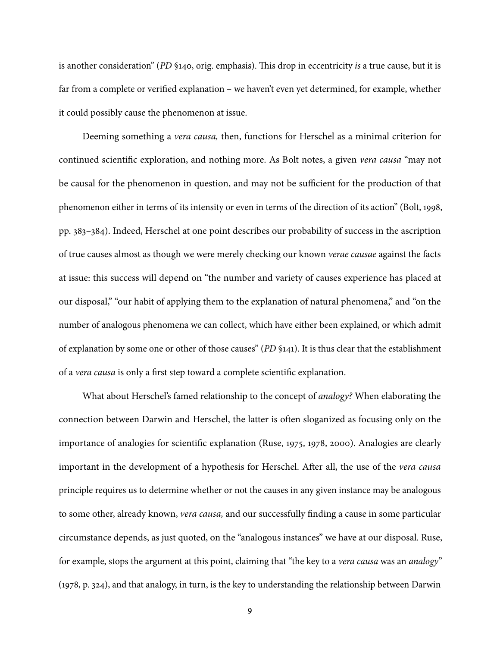is another consideration" (PD §140, orig. emphasis). This drop in eccentricity is a true cause, but it is far from a complete or verified explanation – we haven't even yet determined, for example, whether it could possibly cause the phenomenon at issue.

Deeming something a vera causa, then, functions for Herschel as a minimal criterion for continued scientific exploration, and nothing more. As Bolt notes, a given vera causa "may not be causal for the phenomenon in question, and may not be sufficient for the production of that phenomenon either in terms of its intensity or even in terms of the direction of its action" [\(Bolt,](#page-29-0) [1998,](#page-29-0) pp. 383–384). Indeed, Herschel at one point describes our probability of success in the ascription of true causes almost as though we were merely checking our known verae causae against the facts at issue: this success will depend on "the number and variety of causes experience has placed at our disposal," "our habit of applying them to the explanation of natural phenomena," and "on the number of analogous phenomena we can collect, which have either been explained, or which admit of explanation by some one or other of those causes" (PD §141). It is thus clear that the establishment of a vera causa is only a first step toward a complete scientific explanation.

What about Herschel's famed relationship to the concept of *analogy*? When elaborating the connection between Darwin and Herschel, the latter is often sloganized as focusing only on the importance of analogies for scientific explanation [\(Ruse,](#page-33-1) [1975,](#page-33-1) [1978,](#page-33-4) [2000\)](#page-33-3). Analogies are clearly important in the development of a hypothesis for Herschel. After all, the use of the vera causa principle requires us to determine whether or not the causes in any given instance may be analogous to some other, already known, vera causa, and our successfully finding a cause in some particular circumstance depends, as just quoted, on the "analogous instances" we have at our disposal. Ruse, for example, stops the argument at this point, claiming that "the key to a vera causa was an analogy" [\(1978,](#page-33-4) p. 324), and that analogy, in turn, is the key to understanding the relationship between Darwin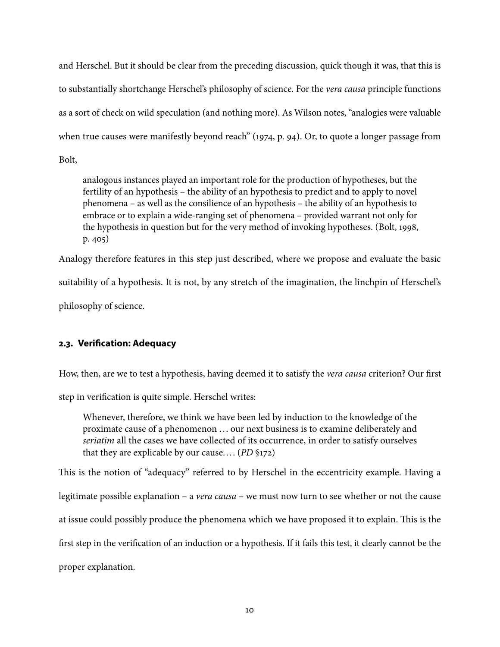and Herschel. But it should be clear from the preceding discussion, quick though it was, that this is to substantially shortchange Herschel's philosophy of science. For the vera causa principle functions as a sort of check on wild speculation (and nothing more). As Wilson notes, "analogies were valuable when true causes were manifestly beyond reach" [\(1974,](#page-34-0) p. 94). Or, to quote a longer passage from

Bolt,

analogous instances played an important role for the production of hypotheses, but the fertility of an hypothesis – the ability of an hypothesis to predict and to apply to novel phenomena – as well as the consilience of an hypothesis – the ability of an hypothesis to embrace or to explain a wide-ranging set of phenomena – provided warrant not only for the hypothesis in question but for the very method of invoking hypotheses. [\(Bolt,](#page-29-0) [1998,](#page-29-0) p. 405)

Analogy therefore features in this step just described, where we propose and evaluate the basic

suitability of a hypothesis. It is not, by any stretch of the imagination, the linchpin of Herschel's

philosophy of science.

### **2.3. Verification: Adequacy**

How, then, are we to test a hypothesis, having deemed it to satisfy the vera causa criterion? Our first

step in verification is quite simple. Herschel writes:

Whenever, therefore, we think we have been led by induction to the knowledge of the proximate cause of a phenomenon ... our next business is to examine deliberately and seriatim all the cases we have collected of its occurrence, in order to satisfy ourselves that they are explicable by our cause.... ( $PD$  §172)

This is the notion of "adequacy" referred to by Herschel in the eccentricity example. Having a legitimate possible explanation – a *vera causa* – we must now turn to see whether or not the cause at issue could possibly produce the phenomena which we have proposed it to explain. This is the first step in the verification of an induction or a hypothesis. If it fails this test, it clearly cannot be the proper explanation.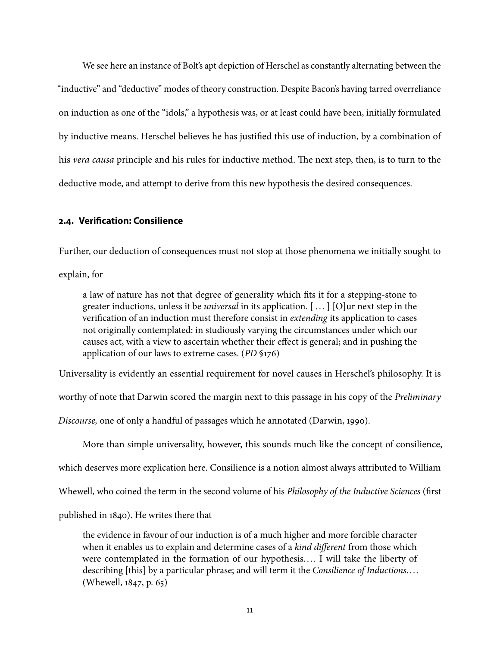We see here an instance of Bolt's apt depiction of Herschel as constantly alternating between the "inductive" and "deductive" modes of theory construction. Despite Bacon's having tarred overreliance on induction as one of the "idols," a hypothesis was, or at least could have been, initially formulated by inductive means. Herschel believes he has justified this use of induction, by a combination of his vera causa principle and his rules for inductive method. The next step, then, is to turn to the deductive mode, and attempt to derive from this new hypothesis the desired consequences.

### **2.4. Verification: Consilience**

Further, our deduction of consequences must not stop at those phenomena we initially sought to

explain, for

a law of nature has not that degree of generality which fits it for a stepping-stone to greater inductions, unless it be *universal* in its application.  $[...]$  [O]ur next step in the verification of an induction must therefore consist in extending its application to cases not originally contemplated: in studiously varying the circumstances under which our causes act, with a view to ascertain whether their effect is general; and in pushing the application of our laws to extreme cases. (PD §176)

Universality is evidently an essential requirement for novel causes in Herschel's philosophy. It is

worthy of note that Darwin scored the margin next to this passage in his copy of the *Preliminary* 

Discourse, one of only a handful of passages which he annotated [\(Darwin,](#page-30-14) [1990\)](#page-30-14).

More than simple universality, however, this sounds much like the concept of consilience,

which deserves more explication here. Consilience is a notion almost always attributed to William

Whewell, who coined the term in the second volume of his Philosophy of the Inductive Sciences (first

published in 1840). He writes there that

the evidence in favour of our induction is of a much higher and more forcible character when it enables us to explain and determine cases of a kind different from those which were contemplated in the formation of our hypothesis.... I will take the liberty of describing [this] by a particular phrase; and will term it the Consilience of Inductions.... [\(Whewell,](#page-34-1) [1847,](#page-34-1) p. 65)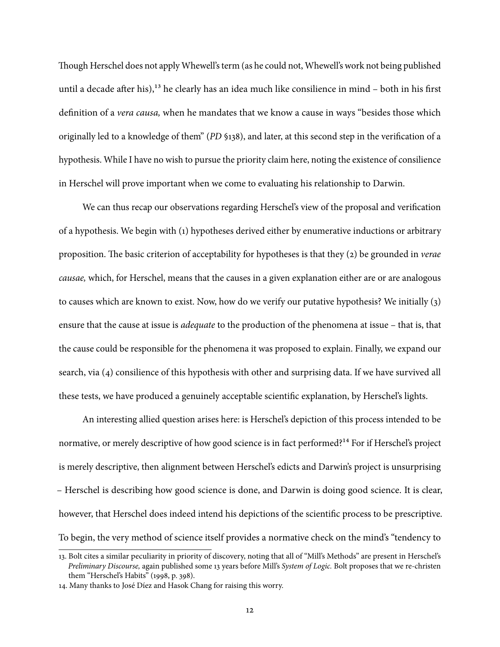Though Herschel does not apply Whewell's term (as he could not, Whewell's work not being published until a decade after his),<sup>13</sup> he clearly has an idea much like consilience in mind  $-$  both in his first definition of a vera causa, when he mandates that we know a cause in ways "besides those which originally led to a knowledge of them" (PD §138), and later, at this second step in the verification of a hypothesis. While I have no wish to pursue the priority claim here, noting the existence of consilience in Herschel will prove important when we come to evaluating his relationship to Darwin.

We can thus recap our observations regarding Herschel's view of the proposal and verification of a hypothesis. We begin with (1) hypotheses derived either by enumerative inductions or arbitrary proposition. The basic criterion of acceptability for hypotheses is that they  $(2)$  be grounded in *verae* causae, which, for Herschel, means that the causes in a given explanation either are or are analogous to causes which are known to exist. Now, how do we verify our putative hypothesis? We initially (3) ensure that the cause at issue is adequate to the production of the phenomena at issue – that is, that the cause could be responsible for the phenomena it was proposed to explain. Finally, we expand our search, via (4) consilience of this hypothesis with other and surprising data. If we have survived all these tests, we have produced a genuinely acceptable scientific explanation, by Herschel's lights.

An interesting allied question arises here: is Herschel's depiction of this process intended to be normative, or merely descriptive of how good science is in fact performed?<sup>14</sup> For if Herschel's project is merely descriptive, then alignment between Herschel's edicts and Darwin's project is unsurprising – Herschel is describing how good science is done, and Darwin is doing good science. It is clear, however, that Herschel does indeed intend his depictions of the scientific process to be prescriptive. To begin, the very method of science itself provides a normative check on the mind's "tendency to

<span id="page-11-0"></span><sup>13.</sup> Bolt cites a similar peculiarity in priority of discovery, noting that all of "Mill's Methods" are present in Herschel's Preliminary Discourse, again published some 13 years before Mill's System of Logic. Bolt proposes that we re-christen them "Herschel's Habits" [\(1998,](#page-29-0) p. 398).

<span id="page-11-1"></span><sup>14.</sup> Many thanks to José Díez and Hasok Chang for raising this worry.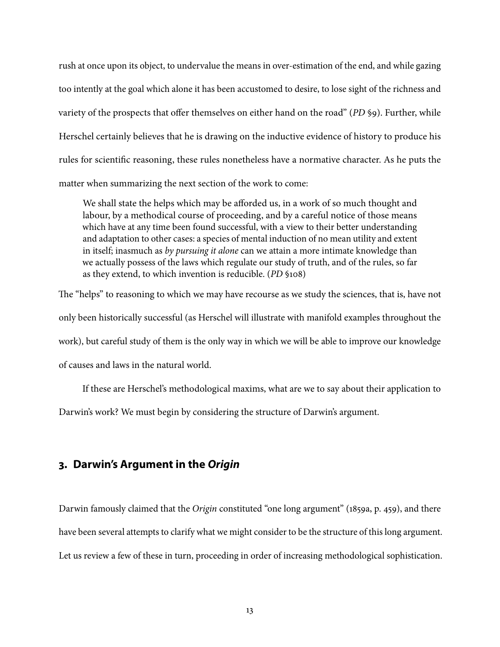rush at once upon its object, to undervalue the means in over-estimation of the end, and while gazing too intently at the goal which alone it has been accustomed to desire, to lose sight of the richness and variety of the prospects that offer themselves on either hand on the road" (PD §9). Further, while Herschel certainly believes that he is drawing on the inductive evidence of history to produce his rules for scientific reasoning, these rules nonetheless have a normative character. As he puts the matter when summarizing the next section of the work to come:

We shall state the helps which may be afforded us, in a work of so much thought and labour, by a methodical course of proceeding, and by a careful notice of those means which have at any time been found successful, with a view to their better understanding and adaptation to other cases: a species of mental induction of no mean utility and extent in itself; inasmuch as by pursuing it alone can we attain a more intimate knowledge than we actually possess of the laws which regulate our study of truth, and of the rules, so far as they extend, to which invention is reducible. (PD §108)

The "helps" to reasoning to which we may have recourse as we study the sciences, that is, have not only been historically successful (as Herschel will illustrate with manifold examples throughout the work), but careful study of them is the only way in which we will be able to improve our knowledge of causes and laws in the natural world.

If these are Herschel's methodological maxims, what are we to say about their application to Darwin's work? We must begin by considering the structure of Darwin's argument.

# **3. Darwin's Argument in the Origin**

Darwin famously claimed that the Origin constituted "one long argument" [\(1859a,](#page-30-0) p. 459), and there have been several attempts to clarify what we might consider to be the structure of this long argument. Let us review a few of these in turn, proceeding in order of increasing methodological sophistication.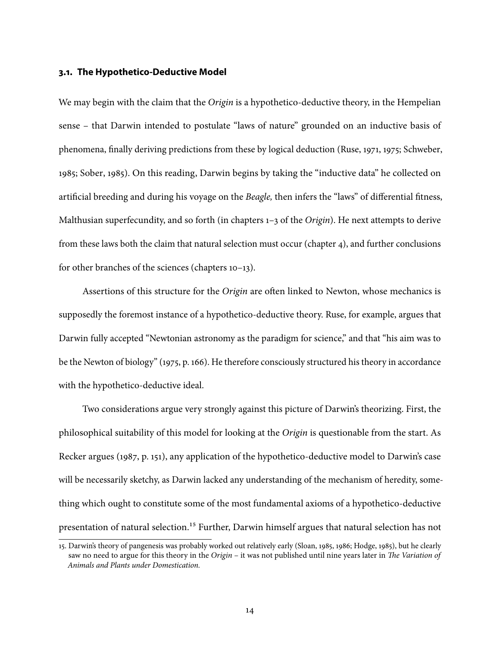#### **3.1. The Hypothetico-Deductive Model**

We may begin with the claim that the Origin is a hypothetico-deductive theory, in the Hempelian sense – that Darwin intended to postulate "laws of nature" grounded on an inductive basis of phenomena, finally deriving predictions from these by logical deduction [\(Ruse,](#page-33-9) [1971,](#page-33-9) [1975;](#page-33-1) [Schweber,](#page-33-8) [1985;](#page-33-8) [Sober,](#page-33-10) [1985\)](#page-33-10). On this reading, Darwin begins by taking the "inductive data" he collected on artificial breeding and during his voyage on the *Beagle*, then infers the "laws" of differential fitness, Malthusian superfecundity, and so forth (in chapters 1-3 of the Origin). He next attempts to derive from these laws both the claim that natural selection must occur (chapter 4), and further conclusions for other branches of the sciences (chapters 10–13).

Assertions of this structure for the *Origin* are often linked to Newton, whose mechanics is supposedly the foremost instance of a hypothetico-deductive theory. Ruse, for example, argues that Darwin fully accepted "Newtonian astronomy as the paradigm for science," and that "his aim was to be the Newton of biology" [\(1975,](#page-33-1) p. 166). He therefore consciously structured his theory in accordance with the hypothetico-deductive ideal.

Two considerations argue very strongly against this picture of Darwin's theorizing. First, the philosophical suitability of this model for looking at the Origin is questionable from the start. As Recker argues [\(1987,](#page-32-5) p. 151), any application of the hypothetico-deductive model to Darwin's case will be necessarily sketchy, as Darwin lacked any understanding of the mechanism of heredity, something which ought to constitute some of the most fundamental axioms of a hypothetico-deductive presentation of natural selection.<sup>15</sup> Further, Darwin himself argues that natural selection has not

<span id="page-13-0"></span><sup>15.</sup> Darwin's theory of pangenesis was probably worked out relatively early [\(Sloan,](#page-33-11) [1985,](#page-33-11) [1986;](#page-33-12) [Hodge,](#page-31-11) [1985\)](#page-31-11), but he clearly saw no need to argue for this theory in the Origin – it was not published until nine years later in The Variation of Animals and Plants under Domestication.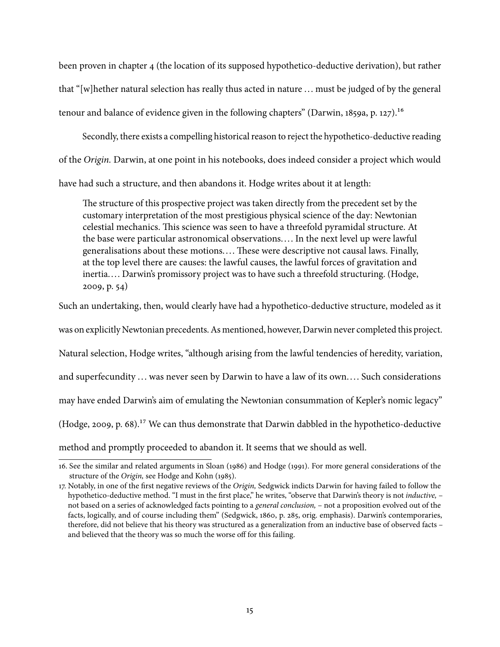been proven in chapter 4 (the location of its supposed hypothetico-deductive derivation), but rather that "[w]hether natural selection has really thus acted in nature  $\ldots$  must be judged of by the general tenour and balance of evidence given in the following chapters" [\(Darwin,](#page-30-0) [1859a,](#page-30-0) p. 127).<sup>16</sup>

Secondly, there exists a compelling historical reason to reject the hypothetico-deductive reading of the Origin. Darwin, at one point in his notebooks, does indeed consider a project which would have had such a structure, and then abandons it. Hodge writes about it at length:

The structure of this prospective project was taken directly from the precedent set by the customary interpretation of the most prestigious physical science of the day: Newtonian celestial mechanics. This science was seen to have a threefold pyramidal structure. At the base were particular astronomical observations... . In the next level up were lawful generalisations about these motions.... These were descriptive not causal laws. Finally, at the top level there are causes: the lawful causes, the lawful forces of gravitation and inertia.... Darwin's promissory project was to have such a threefold structuring. [\(Hodge,](#page-31-7) [2009,](#page-31-7) p. 54)

Such an undertaking, then, would clearly have had a hypothetico-deductive structure, modeled as it

was on explicitly Newtonian precedents. As mentioned, however, Darwin never completed this project.

Natural selection, Hodge writes, "although arising from the lawful tendencies of heredity, variation,

and superfecundity ... was never seen by Darwin to have a law of its own.... Such considerations

may have ended Darwin's aim of emulating the Newtonian consummation of Kepler's nomic legacy"

[\(Hodge,](#page-31-7) [2009,](#page-31-7) p. 68)[.17](#page-14-1) We can thus demonstrate that Darwin dabbled in the hypothetico-deductive

method and promptly proceeded to abandon it. It seems that we should as well.

<span id="page-14-0"></span><sup>16.</sup> See the similar and related arguments in [Sloan](#page-33-12) [\(1986\)](#page-33-12) and [Hodge](#page-31-2) [\(1991\)](#page-31-2). For more general considerations of the structure of the Origin, see [Hodge and Kohn](#page-31-12) [\(1985\)](#page-31-12).

<span id="page-14-1"></span><sup>17.</sup> Notably, in one of the first negative reviews of the Origin, Sedgwick indicts Darwin for having failed to follow the hypothetico-deductive method. "I must in the first place," he writes, "observe that Darwin's theory is not *inductive*,  $$ not based on a series of acknowledged facts pointing to a general conclusion, – not a proposition evolved out of the facts, logically, and of course including them" [\(Sedgwick,](#page-33-13) [1860,](#page-33-13) p. 285, orig. emphasis). Darwin's contemporaries, therefore, did not believe that his theory was structured as a generalization from an inductive base of observed facts – and believed that the theory was so much the worse off for this failing.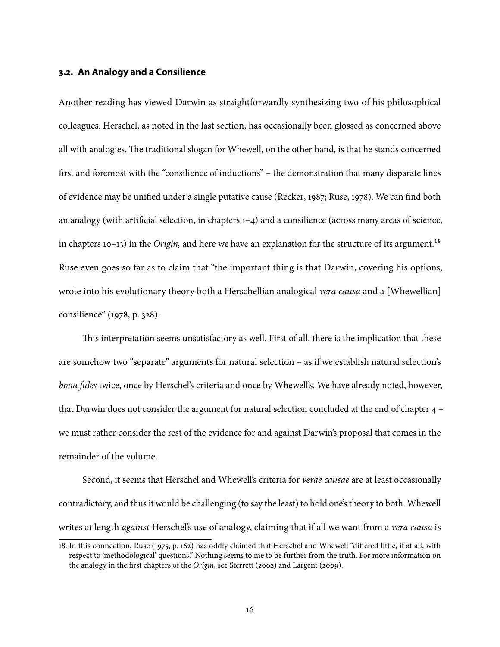#### **3.2. An Analogy and a Consilience**

Another reading has viewed Darwin as straightforwardly synthesizing two of his philosophical colleagues. Herschel, as noted in the last section, has occasionally been glossed as concerned above all with analogies. The traditional slogan for Whewell, on the other hand, is that he stands concerned first and foremost with the "consilience of inductions" – the demonstration that many disparate lines of evidence may be unified under a single putative cause [\(Recker,](#page-32-5) [1987;](#page-32-5) [Ruse,](#page-33-4) [1978\)](#page-33-4). We can find both an analogy (with artificial selection, in chapters  $1-4$ ) and a consilience (across many areas of science, in chapters 10–13) in the Origin, and here we have an explanation for the structure of its argument.<sup>18</sup> Ruse even goes so far as to claim that "the important thing is that Darwin, covering his options, wrote into his evolutionary theory both a Herschellian analogical *vera causa* and a [Whewellian] consilience" [\(1978,](#page-33-4) p. 328).

This interpretation seems unsatisfactory as well. First of all, there is the implication that these are somehow two "separate" arguments for natural selection – as if we establish natural selection's bona fides twice, once by Herschel's criteria and once by Whewell's. We have already noted, however, that Darwin does not consider the argument for natural selection concluded at the end of chapter 4 – we must rather consider the rest of the evidence for and against Darwin's proposal that comes in the remainder of the volume.

Second, it seems that Herschel and Whewell's criteria for verae causae are at least occasionally contradictory, and thus it would be challenging (to say the least) to hold one's theory to both. Whewell writes at length *against* Herschel's use of analogy, claiming that if all we want from a *vera causa* is

<span id="page-15-0"></span><sup>18.</sup> In this connection, [Ruse](#page-33-1) [\(1975,](#page-33-1) p. 162) has oddly claimed that Herschel and Whewell "differed little, if at all, with respect to 'methodological' questions." Nothing seems to me to be further from the truth. For more information on the analogy in the first chapters of the Origin, see [Sterrett](#page-33-14) [\(2002\)](#page-33-14) and [Largent](#page-32-12) [\(2009\)](#page-32-12).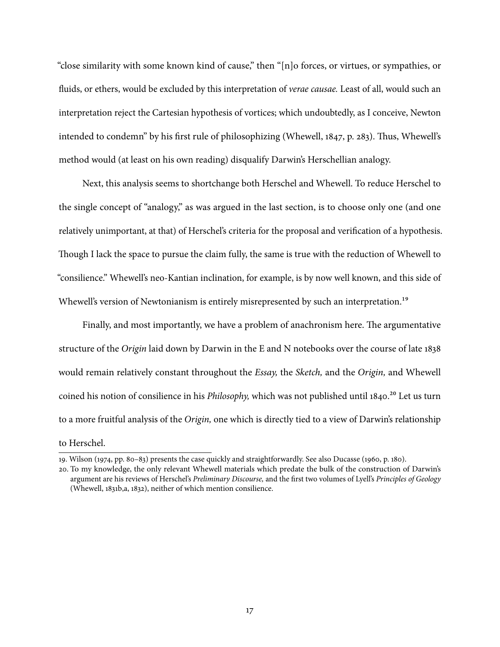"close similarity with some known kind of cause," then "[n]o forces, or virtues, or sympathies, or fluids, or ethers, would be excluded by this interpretation of *verae causae*. Least of all, would such an interpretation reject the Cartesian hypothesis of vortices; which undoubtedly, as I conceive, Newton intended to condemn" by his first rule of philosophizing [\(Whewell,](#page-34-1) [1847,](#page-34-1) p. 283). Thus, Whewell's method would (at least on his own reading) disqualify Darwin's Herschellian analogy.

Next, this analysis seems to shortchange both Herschel and Whewell. To reduce Herschel to the single concept of "analogy," as was argued in the last section, is to choose only one (and one relatively unimportant, at that) of Herschel's criteria for the proposal and verification of a hypothesis. Though I lack the space to pursue the claim fully, the same is true with the reduction of Whewell to "consilience." Whewell's neo-Kantian inclination, for example, is by now well known, and this side of Whewell's version of Newtonianism is entirely misrepresented by such an interpretation.<sup>19</sup>

Finally, and most importantly, we have a problem of anachronism here. The argumentative structure of the Origin laid down by Darwin in the E and N notebooks over the course of late 1838 would remain relatively constant throughout the *Essay*, the *Sketch*, and the *Origin*, and Whewell coined his notion of consilience in his *Philosophy*, which was not published until 1840.<sup>20</sup> Let us turn to a more fruitful analysis of the Origin, one which is directly tied to a view of Darwin's relationship

### to Herschel.

<span id="page-16-0"></span><sup>19.</sup> [Wilson](#page-34-0) [\(1974,](#page-34-0) pp. 80–83) presents the case quickly and straightforwardly. See also [Ducasse](#page-30-13) [\(1960,](#page-30-13) p. 180).

<span id="page-16-1"></span><sup>20.</sup> To my knowledge, the only relevant Whewell materials which predate the bulk of the construction of Darwin's argument are his reviews of Herschel's Preliminary Discourse, and the first two volumes of Lyell's Principles of Geology [\(Whewell,](#page-34-2) [1831b](#page-34-2)[,a,](#page-34-3) [1832\)](#page-34-4), neither of which mention consilience.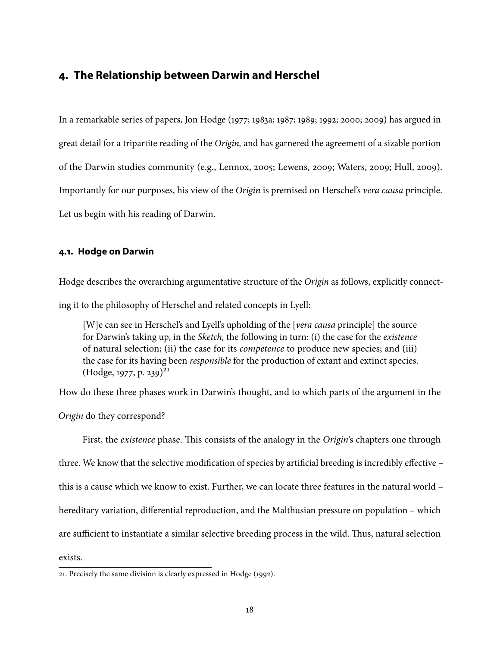### **4. The Relationship between Darwin and Herschel**

In a remarkable series of papers, Jon Hodge [\(1977;](#page-31-0) [1983a;](#page-31-4) [1987;](#page-31-13) [1989;](#page-31-1) [1992;](#page-31-9) [2000;](#page-31-3) [2009\)](#page-31-7) has argued in great detail for a tripartite reading of the Origin, and has garnered the agreement of a sizable portion of the Darwin studies community (e.g., [Lennox,](#page-32-0) [2005;](#page-32-0) [Lewens,](#page-32-13) [2009;](#page-32-13) [Waters,](#page-34-5) [2009;](#page-34-5) [Hull,](#page-32-6) [2009\)](#page-32-6). Importantly for our purposes, his view of the Origin is premised on Herschel's vera causa principle. Let us begin with his reading of Darwin.

### **4.1. Hodge on Darwin**

Hodge describes the overarching argumentative structure of the Origin as follows, explicitly connecting it to the philosophy of Herschel and related concepts in Lyell:

[W]e can see in Herschel's and Lyell's upholding of the [*vera causa* principle] the source for Darwin's taking up, in the Sketch, the following in turn: (i) the case for the existence of natural selection; (ii) the case for its competence to produce new species; and (iii) the case for its having been responsible for the production of extant and extinct species.  $(Hodge, 1977, p. 239)^{21}$  $(Hodge, 1977, p. 239)^{21}$  $(Hodge, 1977, p. 239)^{21}$  $(Hodge, 1977, p. 239)^{21}$ 

How do these three phases work in Darwin's thought, and to which parts of the argument in the

Origin do they correspond?

First, the existence phase. This consists of the analogy in the Origin's chapters one through three. We know that the selective modification of species by artificial breeding is incredibly effective this is a cause which we know to exist. Further, we can locate three features in the natural world – hereditary variation, differential reproduction, and the Malthusian pressure on population – which are sufficient to instantiate a similar selective breeding process in the wild. Thus, natural selection exists.

<span id="page-17-0"></span>21. Precisely the same division is clearly expressed in [Hodge](#page-31-9) [\(1992\)](#page-31-9).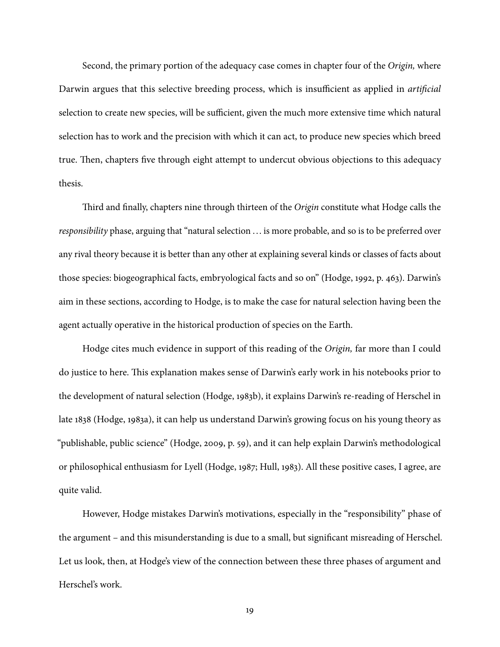Second, the primary portion of the adequacy case comes in chapter four of the Origin, where Darwin argues that this selective breeding process, which is insufficient as applied in *artificial* selection to create new species, will be sufficient, given the much more extensive time which natural selection has to work and the precision with which it can act, to produce new species which breed true. Then, chapters five through eight attempt to undercut obvious objections to this adequacy thesis.

Third and finally, chapters nine through thirteen of the Origin constitute what Hodge calls the responsibility phase, arguing that "natural selection ... is more probable, and so is to be preferred over any rival theory because it is better than any other at explaining several kinds or classes of facts about those species: biogeographical facts, embryological facts and so on" [\(Hodge,](#page-31-9) [1992,](#page-31-9) p. 463). Darwin's aim in these sections, according to Hodge, is to make the case for natural selection having been the agent actually operative in the historical production of species on the Earth.

Hodge cites much evidence in support of this reading of the Origin, far more than I could do justice to here. This explanation makes sense of Darwin's early work in his notebooks prior to the development of natural selection [\(Hodge,](#page-31-5) [1983b\)](#page-31-5), it explains Darwin's re-reading of Herschel in late 1838 [\(Hodge,](#page-31-4) [1983a\)](#page-31-4), it can help us understand Darwin's growing focus on his young theory as "publishable, public science" [\(Hodge,](#page-31-7) [2009,](#page-31-7) p. 59), and it can help explain Darwin's methodological or philosophical enthusiasm for Lyell [\(Hodge,](#page-31-13) [1987;](#page-31-13) [Hull,](#page-32-14) [1983\)](#page-32-14). All these positive cases, I agree, are quite valid.

However, Hodge mistakes Darwin's motivations, especially in the "responsibility" phase of the argument – and this misunderstanding is due to a small, but signicant misreading of Herschel. Let us look, then, at Hodge's view of the connection between these three phases of argument and Herschel's work.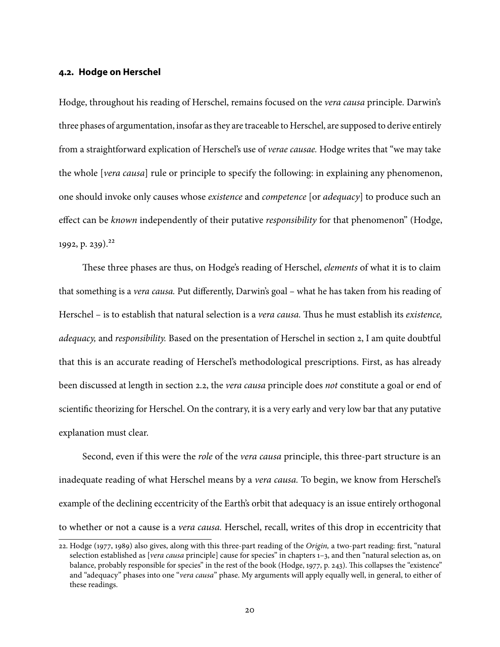#### **4.2. Hodge on Herschel**

Hodge, throughout his reading of Herschel, remains focused on the vera causa principle. Darwin's three phases of argumentation, insofar as they are traceable to Herschel, are supposed to derive entirely from a straightforward explication of Herschel's use of verae causae. Hodge writes that "we may take the whole [vera causa] rule or principle to specify the following: in explaining any phenomenon, one should invoke only causes whose existence and competence [or adequacy] to produce such an effect can be known independently of their putative responsibility for that phenomenon" [\(Hodge,](#page-31-9) [1992,](#page-31-9) p. 239).<sup>22</sup>

These three phases are thus, on Hodge's reading of Herschel, *elements* of what it is to claim that something is a vera causa. Put differently, Darwin's goal - what he has taken from his reading of Herschel – is to establish that natural selection is a *vera causa*. Thus he must establish its *existence*, adequacy, and responsibility. Based on the presentation of Herschel in section [2,](#page-4-1) I am quite doubtful that this is an accurate reading of Herschel's methodological prescriptions. First, as has already been discussed at length in section [2.2,](#page-6-0) the *vera causa* principle does *not* constitute a goal or end of scientific theorizing for Herschel. On the contrary, it is a very early and very low bar that any putative explanation must clear.

Second, even if this were the *role* of the *vera causa* principle, this three-part structure is an inadequate reading of what Herschel means by a vera causa. To begin, we know from Herschel's example of the declining eccentricity of the Earth's orbit that adequacy is an issue entirely orthogonal to whether or not a cause is a vera causa. Herschel, recall, writes of this drop in eccentricity that

<span id="page-19-0"></span><sup>22.</sup> [Hodge](#page-31-0) [\(1977,](#page-31-0) [1989\)](#page-31-1) also gives, along with this three-part reading of the Origin, a two-part reading: first, "natural selection established as [vera causa principle] cause for species" in chapters 1-3, and then "natural selection as, on balance, probably responsible for species" in the rest of the book [\(Hodge,](#page-31-0) [1977,](#page-31-0) p. 243). This collapses the "existence" and "adequacy" phases into one "vera causa" phase. My arguments will apply equally well, in general, to either of these readings.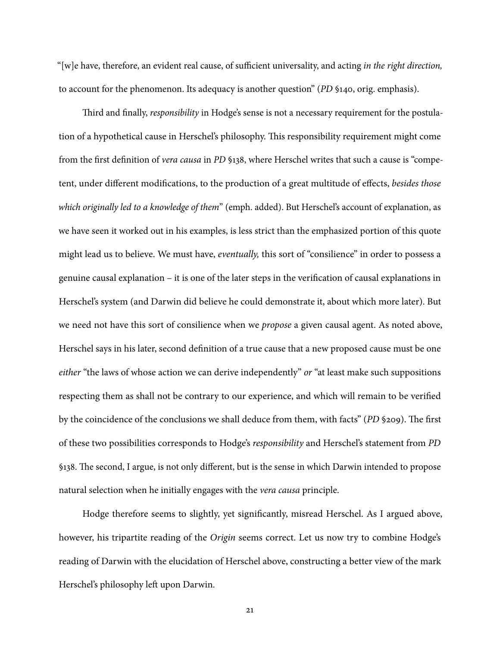"[w]e have, therefore, an evident real cause, of sufficient universality, and acting in the right direction, to account for the phenomenon. Its adequacy is another question" (PD §140, orig. emphasis).

Third and finally, responsibility in Hodge's sense is not a necessary requirement for the postulation of a hypothetical cause in Herschel's philosophy. This responsibility requirement might come from the first definition of *vera causa* in PD §138, where Herschel writes that such a cause is "competent, under different modifications, to the production of a great multitude of effects, besides those which originally led to a knowledge of them" (emph. added). But Herschel's account of explanation, as we have seen it worked out in his examples, is less strict than the emphasized portion of this quote might lead us to believe. We must have, eventually, this sort of "consilience" in order to possess a genuine causal explanation - it is one of the later steps in the verification of causal explanations in Herschel's system (and Darwin did believe he could demonstrate it, about which more later). But we need not have this sort of consilience when we propose a given causal agent. As noted above, Herschel says in his later, second definition of a true cause that a new proposed cause must be one either "the laws of whose action we can derive independently" or "at least make such suppositions respecting them as shall not be contrary to our experience, and which will remain to be verified by the coincidence of the conclusions we shall deduce from them, with facts" ( $PD$  §209). The first of these two possibilities corresponds to Hodge's responsibility and Herschel's statement from PD §138. The second, I argue, is not only different, but is the sense in which Darwin intended to propose natural selection when he initially engages with the vera causa principle.

Hodge therefore seems to slightly, yet significantly, misread Herschel. As I argued above, however, his tripartite reading of the Origin seems correct. Let us now try to combine Hodge's reading of Darwin with the elucidation of Herschel above, constructing a better view of the mark Herschel's philosophy left upon Darwin.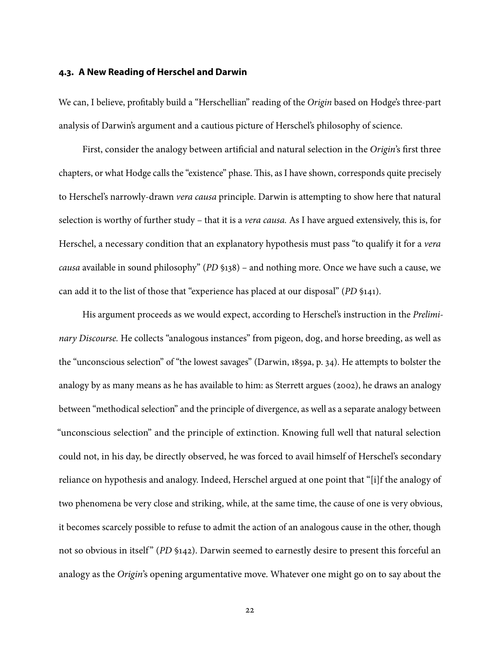### **4.3. A New Reading of Herschel and Darwin**

We can, I believe, profitably build a "Herschellian" reading of the Origin based on Hodge's three-part analysis of Darwin's argument and a cautious picture of Herschel's philosophy of science.

First, consider the analogy between artificial and natural selection in the Origin's first three chapters, or what Hodge calls the "existence" phase. This, as I have shown, corresponds quite precisely to Herschel's narrowly-drawn vera causa principle. Darwin is attempting to show here that natural selection is worthy of further study – that it is a *vera causa*. As I have argued extensively, this is, for Herschel, a necessary condition that an explanatory hypothesis must pass "to qualify it for a vera causa available in sound philosophy" (PD §138) – and nothing more. Once we have such a cause, we can add it to the list of those that "experience has placed at our disposal" (PD §141).

His argument proceeds as we would expect, according to Herschel's instruction in the Preliminary Discourse. He collects "analogous instances" from pigeon, dog, and horse breeding, as well as the "unconscious selection" of "the lowest savages" [\(Darwin,](#page-30-0) [1859a,](#page-30-0) p. 34). He attempts to bolster the analogy by as many means as he has available to him: as Sterrett argues [\(2002\)](#page-33-14), he draws an analogy between "methodical selection" and the principle of divergence, as well as a separate analogy between "unconscious selection" and the principle of extinction. Knowing full well that natural selection could not, in his day, be directly observed, he was forced to avail himself of Herschel's secondary reliance on hypothesis and analogy. Indeed, Herschel argued at one point that "[i]f the analogy of two phenomena be very close and striking, while, at the same time, the cause of one is very obvious, it becomes scarcely possible to refuse to admit the action of an analogous cause in the other, though not so obvious in itself" (PD §142). Darwin seemed to earnestly desire to present this forceful an analogy as the Origin's opening argumentative move. Whatever one might go on to say about the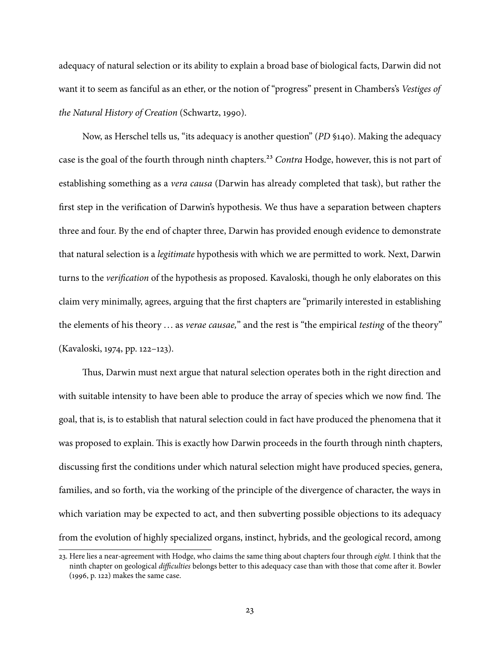adequacy of natural selection or its ability to explain a broad base of biological facts, Darwin did not want it to seem as fanciful as an ether, or the notion of "progress" present in Chambers's Vestiges of the Natural History of Creation [\(Schwartz,](#page-33-15) [1990\)](#page-33-15).

Now, as Herschel tells us, "its adequacy is another question" (PD §140). Making the adequacy case is the goal of the fourth through ninth chapters.<sup>23</sup> Contra Hodge, however, this is not part of establishing something as a vera causa (Darwin has already completed that task), but rather the first step in the verification of Darwin's hypothesis. We thus have a separation between chapters three and four. By the end of chapter three, Darwin has provided enough evidence to demonstrate that natural selection is a legitimate hypothesis with which we are permitted to work. Next, Darwin turns to the *verification* of the hypothesis as proposed. Kavaloski, though he only elaborates on this claim very minimally, agrees, arguing that the first chapters are "primarily interested in establishing the elements of his theory ... as verae causae," and the rest is "the empirical testing of the theory" [\(Kavaloski,](#page-32-7) [1974,](#page-32-7) pp. 122–123).

Thus, Darwin must next argue that natural selection operates both in the right direction and with suitable intensity to have been able to produce the array of species which we now find. The goal, that is, is to establish that natural selection could in fact have produced the phenomena that it was proposed to explain. This is exactly how Darwin proceeds in the fourth through ninth chapters, discussing first the conditions under which natural selection might have produced species, genera, families, and so forth, via the working of the principle of the divergence of character, the ways in which variation may be expected to act, and then subverting possible objections to its adequacy from the evolution of highly specialized organs, instinct, hybrids, and the geological record, among

<span id="page-22-0"></span><sup>23.</sup> Here lies a near-agreement with Hodge, who claims the same thing about chapters four through eight. I think that the ninth chapter on geological difficulties belongs better to this adequacy case than with those that come after it. [Bowler](#page-29-3) [\(1996,](#page-29-3) p. 122) makes the same case.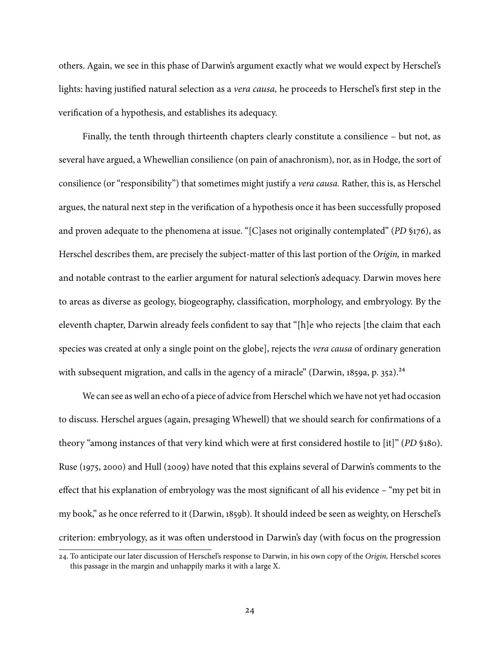others. Again, we see in this phase of Darwin's argument exactly what we would expect by Herschel's lights: having justified natural selection as a *vera causa*, he proceeds to Herschel's first step in the verification of a hypothesis, and establishes its adequacy.

Finally, the tenth through thirteenth chapters clearly constitute a consilience – but not, as several have argued, a Whewellian consilience (on pain of anachronism), nor, as in Hodge, the sort of consilience (or "responsibility") that sometimes might justify a vera causa. Rather, this is, as Herschel argues, the natural next step in the verification of a hypothesis once it has been successfully proposed and proven adequate to the phenomena at issue. "[C]ases not originally contemplated" (PD §176), as Herschel describes them, are precisely the subject-matter of this last portion of the Origin, in marked and notable contrast to the earlier argument for natural selection's adequacy. Darwin moves here to areas as diverse as geology, biogeography, classification, morphology, and embryology. By the eleventh chapter, Darwin already feels confident to say that "[h]e who rejects [the claim that each species was created at only a single point on the globe], rejects the *vera causa* of ordinary generation with subsequent migration, and calls in the agency of a miracle" [\(Darwin,](#page-30-0) [1859a,](#page-30-0) p. 352).<sup>24</sup>

We can see as well an echo of a piece of advice from Herschel which we have not yet had occasion to discuss. Herschel argues (again, presaging Whewell) that we should search for confirmations of a theory "among instances of that very kind which were at first considered hostile to [it]" (PD §180). [Ruse](#page-33-1) [\(1975,](#page-33-1) [2000\)](#page-33-3) and [Hull](#page-32-6) [\(2009\)](#page-32-6) have noted that this explains several of Darwin's comments to the effect that his explanation of embryology was the most significant of all his evidence – "my pet bit in my book," as he once referred to it [\(Darwin,](#page-30-15) [1859b\)](#page-30-15). It should indeed be seen as weighty, on Herschel's criterion: embryology, as it was often understood in Darwin's day (with focus on the progression

<span id="page-23-0"></span><sup>24.</sup> To anticipate our later discussion of Herschel's response to Darwin, in his own copy of the Origin, Herschel scores this passage in the margin and unhappily marks it with a large X.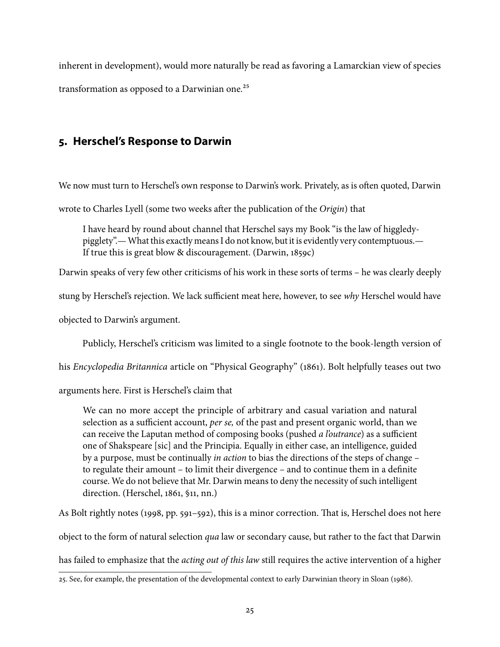inherent in development), would more naturally be read as favoring a Lamarckian view of species transformation as opposed to a Darwinian one.<sup>25</sup>

# **5. Herschel's Response to Darwin**

We now must turn to Herschel's own response to Darwin's work. Privately, as is often quoted, Darwin

wrote to Charles Lyell (some two weeks after the publication of the Origin) that

I have heard by round about channel that Herschel says my Book "is the law of higgledypigglety".—What this exactly means I do not know, but it is evidently very contemptuous.— If true this is great blow & discouragement. [\(Darwin,](#page-30-16) [1859c\)](#page-30-16)

Darwin speaks of very few other criticisms of his work in these sorts of terms – he was clearly deeply

stung by Herschel's rejection. We lack sufficient meat here, however, to see why Herschel would have

objected to Darwin's argument.

Publicly, Herschel's criticism was limited to a single footnote to the book-length version of

his *Encyclopedia Britannica* article on "Physical Geography" [\(1861\)](#page-31-14). Bolt helpfully teases out two

arguments here. First is Herschel's claim that

We can no more accept the principle of arbitrary and casual variation and natural selection as a sufficient account, per se, of the past and present organic world, than we can receive the Laputan method of composing books (pushed *a l'outrance*) as a sufficient one of Shakspeare [sic] and the Principia. Equally in either case, an intelligence, guided by a purpose, must be continually in action to bias the directions of the steps of change – to regulate their amount  $-$  to limit their divergence  $-$  and to continue them in a definite course. We do not believe that Mr. Darwin means to deny the necessity of such intelligent direction. [\(Herschel,](#page-31-14) [1861,](#page-31-14) §11, nn.)

As Bolt rightly notes [\(1998,](#page-29-0) pp.  $591-592$ ), this is a minor correction. That is, Herschel does not here

object to the form of natural selection qua law or secondary cause, but rather to the fact that Darwin

has failed to emphasize that the *acting out of this law* still requires the active intervention of a higher

<span id="page-24-0"></span><sup>25.</sup> See, for example, the presentation of the developmental context to early Darwinian theory in [Sloan](#page-33-12) [\(1986\)](#page-33-12).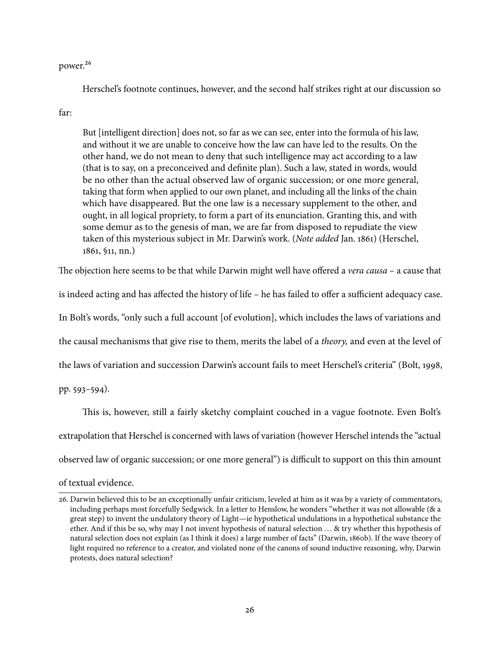#### power[.26](#page-25-0)

Herschel's footnote continues, however, and the second half strikes right at our discussion so

### far:

But [intelligent direction] does not, so far as we can see, enter into the formula of his law, and without it we are unable to conceive how the law can have led to the results. On the other hand, we do not mean to deny that such intelligence may act according to a law (that is to say, on a preconceived and definite plan). Such a law, stated in words, would be no other than the actual observed law of organic succession; or one more general, taking that form when applied to our own planet, and including all the links of the chain which have disappeared. But the one law is a necessary supplement to the other, and ought, in all logical propriety, to form a part of its enunciation. Granting this, and with some demur as to the genesis of man, we are far from disposed to repudiate the view taken of this mysterious subject in Mr. Darwin's work. (Note added Jan. 1861) [\(Herschel,](#page-31-14) [1861,](#page-31-14) §11, nn.)

The objection here seems to be that while Darwin might well have offered a vera causa – a cause that

is indeed acting and has affected the history of life – he has failed to offer a sufficient adequacy case.

In Bolt's words, "only such a full account [of evolution], which includes the laws of variations and

the causal mechanisms that give rise to them, merits the label of a theory, and even at the level of

the laws of variation and succession Darwin's account fails to meet Herschel's criteria" [\(Bolt,](#page-29-0) [1998,](#page-29-0)

pp. 593–594).

This is, however, still a fairly sketchy complaint couched in a vague footnote. Even Bolt's extrapolation that Herschel is concerned with laws of variation (however Herschel intends the "actual observed law of organic succession; or one more general") is difficult to support on this thin amount

#### of textual evidence.

<span id="page-25-0"></span><sup>26.</sup> Darwin believed this to be an exceptionally unfair criticism, leveled at him as it was by a variety of commentators, including perhaps most forcefully Sedgwick. In a letter to Henslow, he wonders "whether it was not allowable (& a great step) to invent the undulatory theory of Light—ie hypothetical undulations in a hypothetical substance the ether. And if this be so, why may I not invent hypothesis of natural selection ... & try whether this hypothesis of natural selection does not explain (as I think it does) a large number of facts" [\(Darwin,](#page-30-17) [1860b\)](#page-30-17). If the wave theory of light required no reference to a creator, and violated none of the canons of sound inductive reasoning, why, Darwin protests, does natural selection?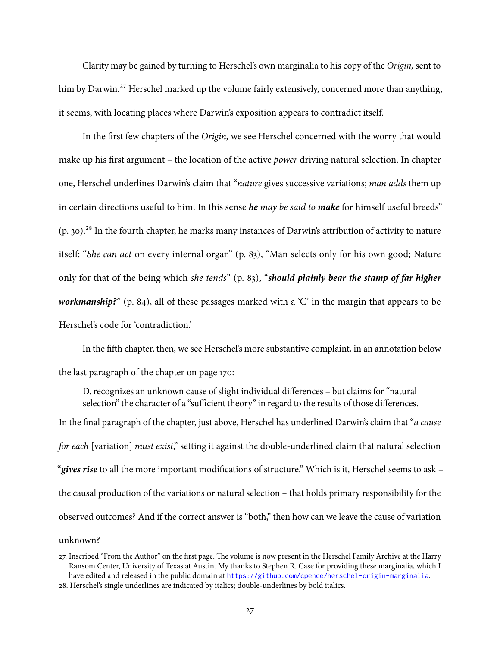Clarity may be gained by turning to Herschel's own marginalia to his copy of the Origin, sent to him by Darwin.<sup>27</sup> Herschel marked up the volume fairly extensively, concerned more than anything, it seems, with locating places where Darwin's exposition appears to contradict itself.

In the first few chapters of the Origin, we see Herschel concerned with the worry that would make up his first argument – the location of the active *power* driving natural selection. In chapter one, Herschel underlines Darwin's claim that "nature gives successive variations; man adds them up in certain directions useful to him. In this sense **he** may be said to **make** for himself useful breeds"  $(p, 30)$ .<sup>28</sup> In the fourth chapter, he marks many instances of Darwin's attribution of activity to nature itself: "She can act on every internal organ" (p. 83), "Man selects only for his own good; Nature only for that of the being which she tends" (p. 83), "**should plainly bear the stamp of far higher** workmanship?" (p. 84), all of these passages marked with a 'C' in the margin that appears to be Herschel's code for 'contradiction.'

In the fifth chapter, then, we see Herschel's more substantive complaint, in an annotation below the last paragraph of the chapter on page 170:

D. recognizes an unknown cause of slight individual differences – but claims for "natural" selection" the character of a "sufficient theory" in regard to the results of those differences. In the final paragraph of the chapter, just above, Herschel has underlined Darwin's claim that "*a cause* for each [variation] must exist," setting it against the double-underlined claim that natural selection "gives rise to all the more important modifications of structure." Which is it, Herschel seems to ask – the causal production of the variations or natural selection – that holds primary responsibility for the observed outcomes? And if the correct answer is "both," then how can we leave the cause of variation unknown?

<span id="page-26-0"></span><sup>27.</sup> Inscribed "From the Author" on the first page. The volume is now present in the Herschel Family Archive at the Harry Ransom Center, University of Texas at Austin. My thanks to Stephen R. Case for providing these marginalia, which I have edited and released in the public domain at <https://github.com/cpence/herschel-origin-marginalia>.

<span id="page-26-1"></span><sup>28.</sup> Herschel's single underlines are indicated by italics; double-underlines by bold italics.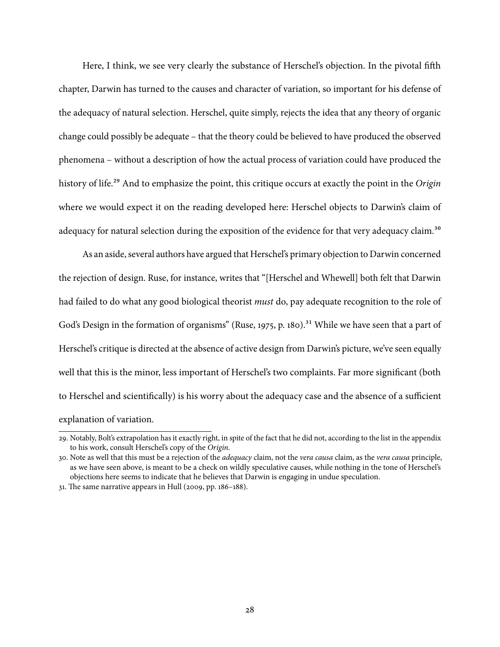Here, I think, we see very clearly the substance of Herschel's objection. In the pivotal fifth chapter, Darwin has turned to the causes and character of variation, so important for his defense of the adequacy of natural selection. Herschel, quite simply, rejects the idea that any theory of organic change could possibly be adequate – that the theory could be believed to have produced the observed phenomena – without a description of how the actual process of variation could have produced the history of life.<sup>29</sup> And to emphasize the point, this critique occurs at exactly the point in the Origin where we would expect it on the reading developed here: Herschel objects to Darwin's claim of adequacy for natural selection during the exposition of the evidence for that very adequacy claim.<sup>30</sup>

As an aside, several authors have argued that Herschel's primary objection to Darwin concerned the rejection of design. Ruse, for instance, writes that "[Herschel and Whewell] both felt that Darwin had failed to do what any good biological theorist *must* do, pay adequate recognition to the role of God's Design in the formation of organisms" [\(Ruse,](#page-33-1) [1975,](#page-33-1) p. 180).<sup>31</sup> While we have seen that a part of Herschel's critique is directed at the absence of active design from Darwin's picture, we've seen equally well that this is the minor, less important of Herschel's two complaints. Far more significant (both to Herschel and scientifically) is his worry about the adequacy case and the absence of a sufficient explanation of variation.

<span id="page-27-0"></span><sup>29.</sup> Notably, Bolt's extrapolation has it exactly right, in spite of the fact that he did not, according to the list in the appendix to his work, consult Herschel's copy of the Origin.

<span id="page-27-1"></span><sup>30.</sup> Note as well that this must be a rejection of the *adequacy* claim, not the vera causa claim, as the vera causa principle, as we have seen above, is meant to be a check on wildly speculative causes, while nothing in the tone of Herschel's objections here seems to indicate that he believes that Darwin is engaging in undue speculation.

<span id="page-27-2"></span> $31.$  The same narrative appears in [Hull](#page-32-6) [\(2009,](#page-32-6) pp.  $186-188$ ).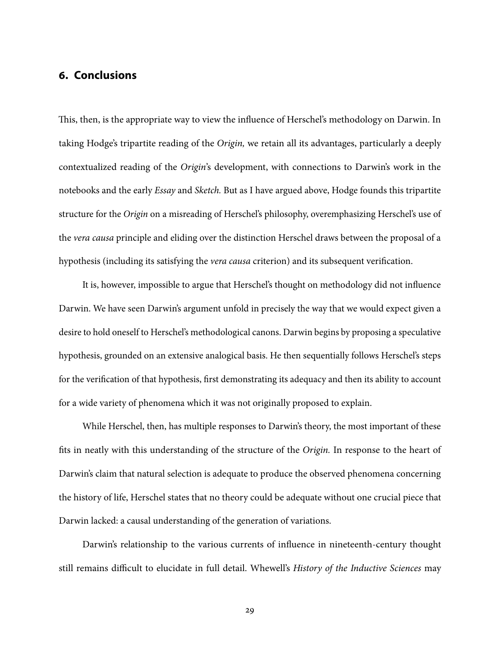# **6. Conclusions**

This, then, is the appropriate way to view the influence of Herschel's methodology on Darwin. In taking Hodge's tripartite reading of the Origin, we retain all its advantages, particularly a deeply contextualized reading of the Origin's development, with connections to Darwin's work in the notebooks and the early Essay and Sketch. But as I have argued above, Hodge founds this tripartite structure for the Origin on a misreading of Herschel's philosophy, overemphasizing Herschel's use of the vera causa principle and eliding over the distinction Herschel draws between the proposal of a hypothesis (including its satisfying the *vera causa* criterion) and its subsequent verification.

It is, however, impossible to argue that Herschel's thought on methodology did not influence Darwin. We have seen Darwin's argument unfold in precisely the way that we would expect given a desire to hold oneself to Herschel's methodological canons. Darwin begins by proposing a speculative hypothesis, grounded on an extensive analogical basis. He then sequentially follows Herschel's steps for the verification of that hypothesis, first demonstrating its adequacy and then its ability to account for a wide variety of phenomena which it was not originally proposed to explain.

While Herschel, then, has multiple responses to Darwin's theory, the most important of these fits in neatly with this understanding of the structure of the Origin. In response to the heart of Darwin's claim that natural selection is adequate to produce the observed phenomena concerning the history of life, Herschel states that no theory could be adequate without one crucial piece that Darwin lacked: a causal understanding of the generation of variations.

Darwin's relationship to the various currents of influence in nineteenth-century thought still remains difficult to elucidate in full detail. Whewell's History of the Inductive Sciences may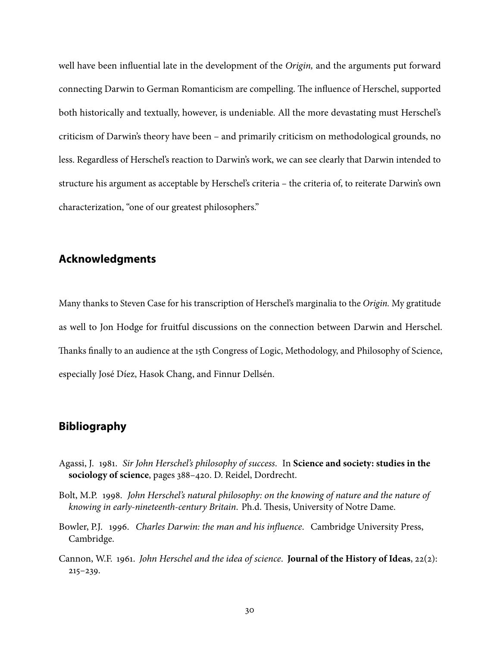well have been influential late in the development of the Origin, and the arguments put forward connecting Darwin to German Romanticism are compelling. The influence of Herschel, supported both historically and textually, however, is undeniable. All the more devastating must Herschel's criticism of Darwin's theory have been – and primarily criticism on methodological grounds, no less. Regardless of Herschel's reaction to Darwin's work, we can see clearly that Darwin intended to structure his argument as acceptable by Herschel's criteria – the criteria of, to reiterate Darwin's own characterization, "one of our greatest philosophers."

# **Acknowledgments**

Many thanks to Steven Case for his transcription of Herschel's marginalia to the Origin. My gratitude as well to Jon Hodge for fruitful discussions on the connection between Darwin and Herschel. Thanks finally to an audience at the 15th Congress of Logic, Methodology, and Philosophy of Science, especially José Díez, Hasok Chang, and Finnur Dellsén.

### **Bibliography**

- <span id="page-29-1"></span>Agassi, J. 1981. Sir John Herschel's philosophy of success. In **Science and society: studies in the sociology of science**, pages 388–420. D. Reidel, Dordrecht.
- <span id="page-29-0"></span>Bolt, M.P. 1998. John Herschel's natural philosophy: on the knowing of nature and the nature of knowing in early-nineteenth-century Britain. Ph.d. Thesis, University of Notre Dame.
- <span id="page-29-3"></span>Bowler, P.J. 1996. Charles Darwin: the man and his influence. Cambridge University Press, Cambridge.
- <span id="page-29-2"></span>Cannon, W.F. 1961. John Herschel and the idea of science. **Journal of the History of Ideas**, 22(2): 215–239.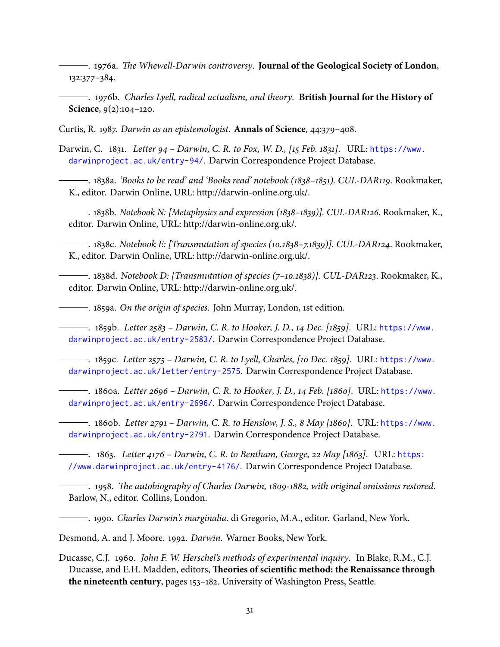<span id="page-30-2"></span><sup>------</sup> 1976a. *The Whewell-Darwin controversy*. **Journal of the Geological Society of London**, 132:377–384.

<span id="page-30-3"></span>. 1976b. Charles Lyell, radical actualism, and theory. **British Journal for the History of Science**, 9(2):104–120.

<span id="page-30-4"></span>Curtis, R. 1987. Darwin as an epistemologist. **Annals of Science**, 44:379–408.

<span id="page-30-5"></span>Darwin, C. 1831. Letter 94 – Darwin, C. R. to Fox, W. D., [15 Feb. 1831]. URL: [https://www.](https://www.darwinproject.ac.uk/entry-94/) [darwinproject.ac.uk/entry-94/](https://www.darwinproject.ac.uk/entry-94/). Darwin Correspondence Project Database.

<span id="page-30-9"></span>. 1838a. 'Books to be read' and 'Books read' notebook (1838–1851). CUL-DAR119. Rookmaker, K., editor. Darwin Online, URL: http://darwin-online.org.uk/.

<span id="page-30-8"></span>. 1838b. Notebook N: [Metaphysics and expression (1838–1839)]. CUL-DAR126. Rookmaker, K., editor. Darwin Online, URL: http://darwin-online.org.uk/.

<span id="page-30-10"></span>. 1838c. Notebook E: [Transmutation of species (10.1838–7.1839)]. CUL-DAR124. Rookmaker, K., editor. Darwin Online, URL: http://darwin-online.org.uk/.

<span id="page-30-7"></span>. 1838d. Notebook D: [Transmutation of species (7–10.1838)]. CUL-DAR123. Rookmaker, K., editor. Darwin Online, URL: http://darwin-online.org.uk/.

<span id="page-30-0"></span>. 1859a. On the origin of species. John Murray, London, 1st edition.

<span id="page-30-15"></span>. 1859b. Letter 2583 – Darwin, C. R. to Hooker, J. D., 14 Dec. [1859]. URL: [https://www.](https://www.darwinproject.ac.uk/entry-2583/) [darwinproject.ac.uk/entry-2583/](https://www.darwinproject.ac.uk/entry-2583/). Darwin Correspondence Project Database.

<span id="page-30-16"></span>. 1859c. Letter 2575 – Darwin, C. R. to Lyell, Charles, [10 Dec. 1859]. URL: [https://www.](https://www.darwinproject.ac.uk/letter/entry-2575) [darwinproject.ac.uk/letter/entry-2575](https://www.darwinproject.ac.uk/letter/entry-2575). Darwin Correspondence Project Database.

<span id="page-30-12"></span>. 1860a. Letter 2696 – Darwin, C. R. to Hooker, J. D., 14 Feb. [1860]. URL: [https://www.](https://www.darwinproject.ac.uk/entry-2696/) [darwinproject.ac.uk/entry-2696/](https://www.darwinproject.ac.uk/entry-2696/). Darwin Correspondence Project Database.

<span id="page-30-17"></span>. 1860b. Letter 2791 – Darwin, C. R. to Henslow, J. S., 8 May [1860]. URL: [https://www.](https://www.darwinproject.ac.uk/entry-2791) [darwinproject.ac.uk/entry-2791](https://www.darwinproject.ac.uk/entry-2791). Darwin Correspondence Project Database.

<span id="page-30-11"></span> $-$ . 1863. Letter 4176 – Darwin, C. R. to Bentham, George, 22 May [1863]. URL: [https:](https://www.darwinproject.ac.uk/entry-4176/) [//www.darwinproject.ac.uk/entry-4176/](https://www.darwinproject.ac.uk/entry-4176/). Darwin Correspondence Project Database.

<span id="page-30-6"></span><sup>-----</sup> 1958. The autobiography of Charles Darwin, 1809-1882, with original omissions restored. Barlow, N., editor. Collins, London.

<span id="page-30-14"></span>1990. Charles Darwin's marginalia. di Gregorio, M.A., editor. Garland, New York.

<span id="page-30-1"></span>Desmond, A. and J. Moore. 1992. Darwin. Warner Books, New York.

<span id="page-30-13"></span>Ducasse, C.J. 1960. John F. W. Herschel's methods of experimental inquiry. In Blake, R.M., C.J. Ducasse, and E.H. Madden, editors, **Theories of scientific method: the Renaissance through the nineteenth century**, pages 153–182. University of Washington Press, Seattle.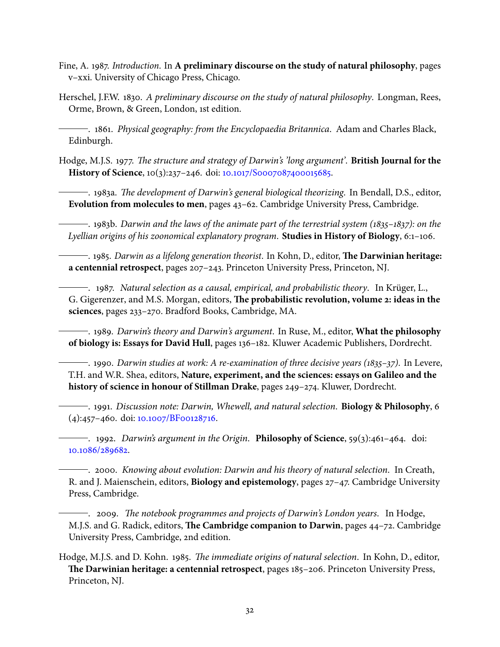- <span id="page-31-10"></span>Fine, A. 1987. Introduction. In **A preliminary discourse on the study of natural philosophy**, pages v–xxi. University of Chicago Press, Chicago.
- <span id="page-31-8"></span>Herschel, J.F.W. 1830. A preliminary discourse on the study of natural philosophy. Longman, Rees, Orme, Brown, & Green, London, 1st edition.

<span id="page-31-14"></span>. 1861. Physical geography: from the Encyclopaedia Britannica. Adam and Charles Black, Edinburgh.

<span id="page-31-0"></span>Hodge, M.J.S. 1977. The structure and strategy of Darwin's 'long argument'. **British Journal for the History of Science**, 10(3):237–246. doi: [10.1017/S0007087400015685.](http://dx.doi.org/10.1017/S0007087400015685)

<span id="page-31-4"></span>- 1983a. *The development of Darwin's general biological theorizing*. In Bendall, D.S., editor, **Evolution from molecules to men**, pages 43–62. Cambridge University Press, Cambridge.

<span id="page-31-5"></span> $-$ . 1983b. Darwin and the laws of the animate part of the terrestrial system (1835–1837): on the Lyellian origins of his zoonomical explanatory program. **Studies in History of Biology**, 6:1–106.

<span id="page-31-11"></span> $-$ . 1985. Darwin as a lifelong generation theorist. In Kohn, D., editor, **The Darwinian heritage: a centennial retrospect**, pages 207–243. Princeton University Press, Princeton, NJ.

<span id="page-31-13"></span>. 1987. Natural selection as a causal, empirical, and probabilistic theory. In Krüger, L., G. Gigerenzer, and M.S. Morgan, editors, The probabilistic revolution, volume 2: ideas in the **sciences**, pages 233–270. Bradford Books, Cambridge, MA.

<span id="page-31-1"></span>. 1989. Darwin's theory and Darwin's argument. In Ruse, M., editor, **What the philosophy of biology is: Essays for David Hull**, pages 136–182. Kluwer Academic Publishers, Dordrecht.

<span id="page-31-6"></span> $\overline{\phantom{a}}$ . 1990. Darwin studies at work: A re-examination of three decisive years (1835–37). In Levere, T.H. and W.R. Shea, editors, **Nature, experiment, and the sciences: essays on Galileo and the history of science in honour of Stillman Drake**, pages 249–274. Kluwer, Dordrecht.

<span id="page-31-2"></span>. 1991. Discussion note: Darwin, Whewell, and natural selection. **Biology & Philosophy**, 6 (4):457–460. doi: [10.1007/BF00128716.](http://dx.doi.org/10.1007/BF00128716)

<span id="page-31-9"></span>. 1992. Darwin's argument in the Origin. **Philosophy of Science**, 59(3):461–464. doi: [10.1086/289682.](http://dx.doi.org/10.1086/289682)

<span id="page-31-3"></span>. 2000. Knowing about evolution: Darwin and his theory of natural selection. In Creath, R. and J. Maienschein, editors, **Biology and epistemology**, pages 27–47. Cambridge University Press, Cambridge.

<span id="page-31-7"></span> $\overline{\phantom{a}}$ . 2009. The notebook programmes and projects of Darwin's London years. In Hodge, M.J.S. and G. Radick, editors, The Cambridge companion to Darwin, pages 44-72. Cambridge University Press, Cambridge, 2nd edition.

<span id="page-31-12"></span>Hodge, M.J.S. and D. Kohn. 1985. The immediate origins of natural selection. In Kohn, D., editor, **e Darwinian heritage: a centennial retrospect**, pages 185–206. Princeton University Press, Princeton, NJ.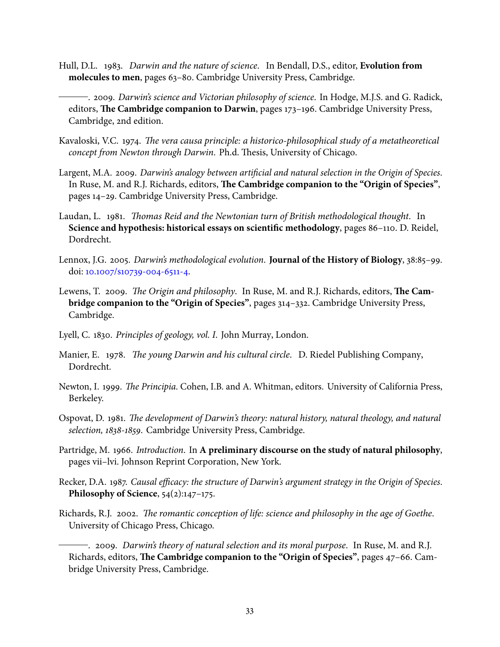- <span id="page-32-14"></span>Hull, D.L. 1983. Darwin and the nature of science. In Bendall, D.S., editor, **Evolution from molecules to men**, pages 63–80. Cambridge University Press, Cambridge.
- <span id="page-32-6"></span>. 2009. Darwin's science and Victorian philosophy of science. In Hodge, M.J.S. and G. Radick, editors, **The Cambridge companion to Darwin**, pages 173-196. Cambridge University Press, Cambridge, 2nd edition.
- <span id="page-32-7"></span>Kavaloski, V.C. 1974. The vera causa principle: a historico-philosophical study of a metatheoretical concept from Newton through Darwin. Ph.d. Thesis, University of Chicago.
- <span id="page-32-12"></span>Largent, M.A. 2009. Darwin's analogy between artificial and natural selection in the Origin of Species. In Ruse, M. and R.J. Richards, editors, **The Cambridge companion to the "Origin of Species"**, pages 14–29. Cambridge University Press, Cambridge.
- <span id="page-32-10"></span>Laudan, L. 1981. Thomas Reid and the Newtonian turn of British methodological thought. In **Science and hypothesis: historical essays on scientific methodology**, pages 86–110. D. Reidel, Dordrecht.
- <span id="page-32-0"></span>Lennox, J.G. 2005. Darwin's methodological evolution. **Journal of the History of Biology**, 38:85–99. doi: [10.1007/s10739-004-6511-4.](http://dx.doi.org/10.1007/s10739-004-6511-4)
- <span id="page-32-13"></span>Lewens, T. 2009. The Origin and philosophy. In Ruse, M. and R.J. Richards, editors, The Cam**bridge companion to the "Origin of Species"**, pages 314–332. Cambridge University Press, Cambridge.
- <span id="page-32-11"></span>Lyell, C. 1830. Principles of geology, vol. I. John Murray, London.
- <span id="page-32-1"></span>Manier, E. 1978. The young Darwin and his cultural circle. D. Riedel Publishing Company, Dordrecht.
- <span id="page-32-9"></span>Newton, I. 1999. The Principia. Cohen, I.B. and A. Whitman, editors. University of California Press, Berkeley.
- <span id="page-32-4"></span>Ospovat, D. 1981. The development of Darwin's theory: natural history, natural theology, and natural selection, 1838-1859. Cambridge University Press, Cambridge.
- <span id="page-32-8"></span>Partridge, M. 1966. Introduction. In **A preliminary discourse on the study of natural philosophy**, pages vii–lvi. Johnson Reprint Corporation, New York.
- <span id="page-32-5"></span>Recker, D.A. 1987. Causal efficacy: the structure of Darwin's argument strategy in the Origin of Species. **Philosophy of Science**, 54(2):147–175.
- <span id="page-32-2"></span>Richards, R.J. 2002. The romantic conception of life: science and philosophy in the age of Goethe. University of Chicago Press, Chicago.

<span id="page-32-3"></span>. 2009. Darwin's theory of natural selection and its moral purpose. In Ruse, M. and R.J. Richards, editors, **The Cambridge companion to the "Origin of Species"**, pages 47–66. Cambridge University Press, Cambridge.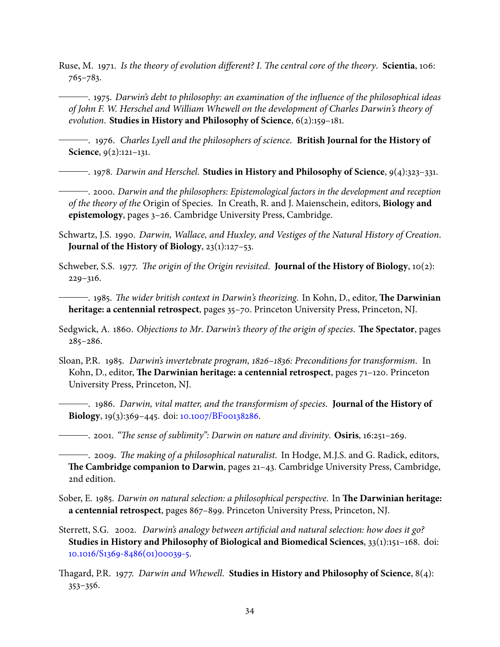<span id="page-33-9"></span>Ruse, M. 1971. Is the theory of evolution different? I. The central core of the theory. Scientia, 106: 765–783.

<span id="page-33-1"></span> $\rightarrow$  1975. Darwin's debt to philosophy: an examination of the influence of the philosophical ideas of John F. W. Herschel and William Whewell on the development of Charles Darwin's theory of evolution. **Studies in History and Philosophy of Science**, 6(2):159–181.

<span id="page-33-7"></span>. 1976. Charles Lyell and the philosophers of science. **British Journal for the History of Science**, 9(2):121–131.

<span id="page-33-4"></span>. 1978. Darwin and Herschel. **Studies in History and Philosophy of Science**, 9(4):323–331.

<span id="page-33-3"></span>. 2000. Darwin and the philosophers: Epistemological factors in the development and reception of the theory of the Origin of Species. In Creath, R. and J. Maienschein, editors, **Biology and epistemology**, pages 3–26. Cambridge University Press, Cambridge.

- <span id="page-33-15"></span>Schwartz, J.S. 1990. Darwin, Wallace, and Huxley, and Vestiges of the Natural History of Creation. **Journal of the History of Biology**, 23(1):127–53.
- <span id="page-33-5"></span>Schweber, S.S. 1977. The origin of the Origin revisited. **Journal of the History of Biology**, 10(2): 229–316.

<span id="page-33-8"></span>- 1985. *The wider british context in Darwin's theorizing*. In Kohn, D., editor, **The Darwinian heritage: a centennial retrospect**, pages 35–70. Princeton University Press, Princeton, NJ.

- <span id="page-33-13"></span>Sedgwick, A. 1860. Objections to Mr. Darwin's theory of the origin of species. **The Spectator**, pages 285–286.
- <span id="page-33-12"></span><span id="page-33-11"></span>Sloan, P.R. 1985. Darwin's invertebrate program, 1826–1836: Preconditions for transformism. In Kohn, D., editor, **The Darwinian heritage: a centennial retrospect**, pages 71-120. Princeton University Press, Princeton, NJ.
	- . 1986. Darwin, vital matter, and the transformism of species. **Journal of the History of Biology**, 19(3):369–445. doi: [10.1007/BF00138286.](http://dx.doi.org/10.1007/BF00138286)

<span id="page-33-6"></span>. 2001. "The sense of sublimity": Darwin on nature and divinity. **Osiris**, 16:251–269.

<span id="page-33-0"></span> $-$ . 2009. *The making of a philosophical naturalist*. In Hodge, M.J.S. and G. Radick, editors, **e Cambridge companion to Darwin**, pages 21–43. Cambridge University Press, Cambridge, 2nd edition.

- <span id="page-33-10"></span>Sober, E. 1985. Darwin on natural selection: a philosophical perspective. In **The Darwinian heritage: a centennial retrospect**, pages 867–899. Princeton University Press, Princeton, NJ.
- <span id="page-33-14"></span>Sterrett, S.G. 2002. Darwin's analogy between artificial and natural selection: how does it go? **Studies in History and Philosophy of Biological and Biomedical Sciences**, 33(1):151–168. doi: [10.1016/S1369-8486\(01\)00039-5.](http://dx.doi.org/10.1016/S1369-8486(01)00039-5)
- <span id="page-33-2"></span>agard, P.R. 1977. Darwin and Whewell. **Studies in History and Philosophy of Science**, 8(4): 353–356.